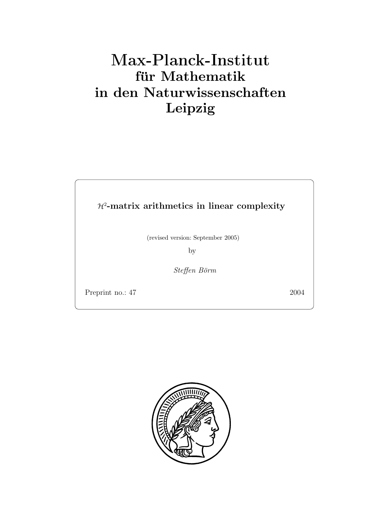# **für Mathematik in den Naturwissenschaften Leipzig**

H<sup>2</sup>**-matrix arithmetics in linear complexity**

(revised version: September 2005)

 $\overline{\phantom{a}}$ 

Steffen Börm

Preprint no.: 47 2004 and 2004 and 2004 and 2004 and 2004 and 2004 and 2004 and 2004 and 2004 and 2004 and 200

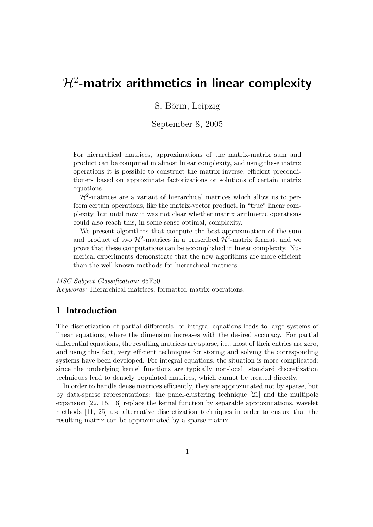# $H^2$ -matrix arithmetics in linear complexity

 $\begin{bmatrix} 1 & 0 \\ 0 & 1 \end{bmatrix}$ 

 $\mathbf{S}$ 

For hierarchical matrices, approximations of the matrix-matrix sum and product can be computed in almost linear complexity, and using these matrix operations it is possible to construct the matrix inverse, efficient preconditioners based on approximate factorizations or solutions of certain matrix equations.

 $\mathcal{H}^2$ -matrices are a variant of hierarchical matrices which allow us to perform certain operations, like the matrix-vector product, in "true" linear complexity, but until now it was not clear whether matrix arithmetic operations could also reach this, in some sense optimal, complexity.

We present algorithms that compute the best-approximation of the sum and product of two  $\mathcal{H}^2$ -matrices in a prescribed  $\mathcal{H}^2$ -matrix format, and we prove that these computations can be accomplished in linear complexity. Numerical experiments demonstrate that the new algorithms are more efficient than the well-known methods for hierarchical matrices.

*MSC Subject Classification:* 65F30

*Keywords:* Hierarchical matrices, formatted matrix operations.

# **1 Introduction**

The discretization of partial differential or integral equations leads to large systems of linear equations, where the dimension increases with the desired accuracy. For partial differential equations, the resulting matrices are sparse, i.e., most of their entries are zero, and using this fact, very efficient techniques for storing and solving the corresponding systems have been developed. For integral equations, the situation is more complicated: since the underlying kernel functions are typically non-local, standard discretization techniques lead to densely populated matrices, which cannot be treated directly.

In order to handle dense matrices efficiently, they are approximated not by sparse, but by data-sparse representations: the panel-clustering technique [21] and the multipole expansion [22, 15, 16] replace the kernel function by separable approximations, wavelet methods [11, 25] use alternative discretization techniques in order to ensure that the resulting matrix can be approximated by a sparse matrix.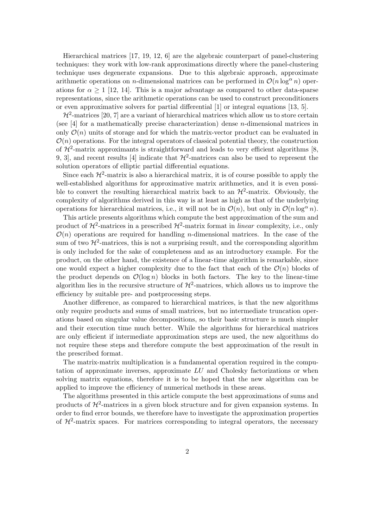Hierarchical matrices [17, 19, 12, 6] are the algebraic counterpart of panel-clustering techniques: they work with low-rank approximations directly where the panel-clustering technique uses degenerate expansions. Due to this algebraic approach, approximate arithmetic operations on *n*-dimensional matrices can be performed in  $\mathcal{O}(n \log^{\alpha} n)$  operations for  $\alpha \geq 1$  [12, 14]. This is a major advantage as compared to other data-sparse representations, since the arithmetic operations can be used to construct preconditioners or even approximative solvers for partial differential [1] or integral equations [13, 5].

 $\mathcal{H}^2$ -matrices [20, 7] are a variant of hierarchical matrices which allow us to store certain (see [4] for a mathematically precise characterization) dense n-dimensional matrices in only  $\mathcal{O}(n)$  units of storage and for which the matrix-vector product can be evaluated in  $\mathcal{O}(n)$  operations. For the integral operators of classical potential theory, the construction of  $\mathcal{H}^2$ -matrix approximants is straightforward and leads to very efficient algorithms [8, 9, 3, and recent results [4] indicate that  $\mathcal{H}^2$ -matrices can also be used to represent the solution operators of elliptic partial differential equations.

Since each  $\mathcal{H}^2$ -matrix is also a hierarchical matrix, it is of course possible to apply the well-established algorithms for approximative matrix arithmetics, and it is even possible to convert the resulting hierarchical matrix back to an  $\mathcal{H}^2$ -matrix. Obviously, the complexity of algorithms derived in this way is at least as high as that of the underlying operations for hierarchical matrices, i.e., it will not be in  $\mathcal{O}(n)$ , but only in  $\mathcal{O}(n \log^{\alpha} n)$ .

This article presents algorithms which compute the best approximation of the sum and product of  $\mathcal{H}^2$ -matrices in a prescribed  $\mathcal{H}^2$ -matrix format in *linear* complexity, i.e., only  $\mathcal{O}(n)$  operations are required for handling *n*-dimensional matrices. In the case of the sum of two  $\mathcal{H}^2$ -matrices, this is not a surprising result, and the corresponding algorithm is only included for the sake of completeness and as an introductory example. For the product, on the other hand, the existence of a linear-time algorithm is remarkable, since one would expect a higher complexity due to the fact that each of the  $\mathcal{O}(n)$  blocks of the product depends on  $\mathcal{O}(\log n)$  blocks in both factors. The key to the linear-time algorithm lies in the recursive structure of  $\mathcal{H}^2$ -matrices, which allows us to improve the efficiency by suitable pre- and postprocessing steps.

Another difference, as compared to hierarchical matrices, is that the new algorithms only require products and sums of small matrices, but no intermediate truncation operations based on singular value decompositions, so their basic structure is much simpler and their execution time much better. While the algorithms for hierarchical matrices are only efficient if intermediate approximation steps are used, the new algorithms do not require these steps and therefore compute the best approximation of the result in the prescribed format.

The matrix-matrix multiplication is a fundamental operation required in the computation of approximate inverses, approximate LU and Cholesky factorizations or when solving matrix equations, therefore it is to be hoped that the new algorithm can be applied to improve the efficiency of numerical methods in these areas.

The algorithms presented in this article compute the best approximations of sums and products of  $\mathcal{H}^2$ -matrices in a given block structure and for given expansion systems. In order to find error bounds, we therefore have to investigate the approximation properties of  $\mathcal{H}^2$ -matrix spaces. For matrices corresponding to integral operators, the necessary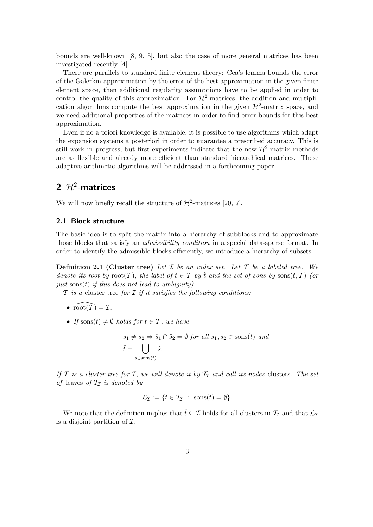bounds are well-known [8, 9, 5], but also the case of more general matrices has been investigated recently [4].

There are parallels to standard finite element theory: Cea's lemma bounds the error of the Galerkin approximation by the error of the best approximation in the given finite element space, then additional regularity assumptions have to be applied in order to control the quality of this approximation. For  $\mathcal{H}^2$ -matrices, the addition and multiplication algorithms compute the best approximation in the given  $\mathcal{H}^2$ -matrix space, and we need additional properties of the matrices in order to find error bounds for this best approximation.

Even if no a priori knowledge is available, it is possible to use algorithms which adapt the expansion systems a posteriori in order to guarantee a prescribed accuracy. This is still work in progress, but first experiments indicate that the new  $\mathcal{H}^2$ -matrix methods are as flexible and already more efficient than standard hierarchical matrices. These adaptive arithmetic algorithms will be addressed in a forthcoming paper.

# **2** H<sup>2</sup>**-matrices**

We will now briefly recall the structure of  $\mathcal{H}^2$ -matrices [20, 7].

#### **2.1 Block structure**

The basic idea is to split the matrix into a hierarchy of subblocks and to approximate those blocks that satisfy an *admissibility condition* in a special data-sparse format. In order to identify the admissible blocks efficiently, we introduce a hierarchy of subsets:

**Definition 2.1 (Cluster tree)** *Let* I *be an index set. Let* T *be a labeled tree. We denote its root by*  $root(T)$ *, the label of*  $t \in T$  *by*  $\hat{t}$  *and the set of sons by* sons $(t, T)$  *(or just* sons(t) *if this does not lead to ambiguity).*

T *is a* cluster tree *for* I *if it satisfies the following conditions:*

- $\text{root}(\tilde{\mathcal{T}}) = \mathcal{I}.$
- *If* sons $(t) \neq \emptyset$  *holds for*  $t \in \mathcal{T}$ *, we have*

$$
s_1 \neq s_2 \Rightarrow \hat{s}_1 \cap \hat{s}_2 = \emptyset \text{ for all } s_1, s_2 \in \text{sons}(t) \text{ and}
$$

$$
\hat{t} = \bigcup_{s \in \text{sons}(t)} \hat{s}.
$$

*If*  $T$  *is a cluster tree for*  $T$ *, we will denote it by*  $T$ *<sub>I</sub> and call its nodes* clusters*. The set of* leaves *of*  $\mathcal{T}_{\mathcal{T}}$  *is denoted by* 

$$
\mathcal{L}_{\mathcal{I}} := \{ t \in \mathcal{T}_{\mathcal{I}} \; : \; \text{sons}(t) = \emptyset \}.
$$

We note that the definition implies that  $\hat{t} \subseteq \mathcal{I}$  holds for all clusters in  $\mathcal{T}_{\mathcal{I}}$  and that  $\mathcal{L}_{\mathcal{I}}$ is a disjoint partition of  $\mathcal{I}$ .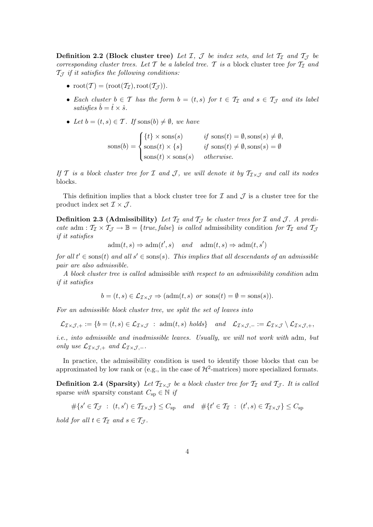**Definition 2.2 (Block cluster tree)** Let I, J be index sets, and let  $T<sub>I</sub>$  and  $T<sub>J</sub>$  be *corresponding cluster trees. Let*  $T$  *be a labeled tree.*  $T$  *is a block cluster tree for*  $T<sub>T</sub>$  *and*  $\mathcal{T}_{\mathcal{T}}$  *if it satisfies the following conditions:* 

- $\text{root}(\mathcal{T}) = (\text{root}(\mathcal{T}_{\mathcal{I}}), \text{root}(\mathcal{T}_{\mathcal{I}})).$
- *Each cluster*  $b \in \mathcal{T}$  *has the form*  $b = (t, s)$  *for*  $t \in \mathcal{T}_{\mathcal{I}}$  *and*  $s \in \mathcal{T}_{\mathcal{J}}$  *and its label*  $satisfies \hat{b} = \hat{t} \times \hat{s}.$
- Let  $b = (t, s) \in \mathcal{T}$ . If soms $(b) \neq \emptyset$ , we have

$$
sons(b) = \begin{cases} \{t\} \times \text{sons}(s) & \text{if } \text{sons}(t) = \emptyset, \text{sons}(s) \neq \emptyset, \\ \text{sons}(t) \times \{s\} & \text{if } \text{sons}(t) \neq \emptyset, \text{sons}(s) = \emptyset \\ \text{sons}(t) \times \text{sons}(s) & \text{otherwise.} \end{cases}
$$

*If* T *is a block cluster tree for* I *and* J, we will denote it by  $T_{I\times J}$  *and call its nodes* blocks*.*

This definition implies that a block cluster tree for  $\mathcal I$  and  $\mathcal J$  is a cluster tree for the product index set  $\mathcal{I} \times \mathcal{J}$ .

**Definition 2.3 (Admissibility)** Let  $\mathcal{T}_{\mathcal{I}}$  and  $\mathcal{T}_{\mathcal{I}}$  be cluster trees for  $\mathcal{I}$  and  $\mathcal{J}$ . A predi*cate* adm :  $T_{\mathcal{I}} \times T_{\mathcal{J}} \to \mathbb{B} = \{ \text{true}, \text{false} \}$  *is called* admissibility condition for  $T_{\mathcal{I}}$  and  $T_{\mathcal{J}}$ *if it satisfies*

 $adm(t, s) \Rightarrow adm(t', s) \quad and \quad adm(t, s) \Rightarrow adm(t, s')$ 

 $for \ all \ t' \in \mathrm{sons}(t) \ and \ all \ s' \in \mathrm{sons}(s).$  This implies that all descendants of an admissible *pair are also admissible.*

*A block cluster tree is called* admissible *with respect to an admissibility condition* adm *if it satisfies*

$$
b = (t, s) \in \mathcal{L}_{\mathcal{I} \times \mathcal{J}} \Rightarrow (adm(t, s) \text{ or } \text{sons}(t) = \emptyset = \text{sons}(s)).
$$

*For an admissible block cluster tree, we split the set of leaves into*

$$
\mathcal{L}_{\mathcal{I}\times\mathcal{J},+}:=\{b=(t,s)\in\mathcal{L}_{\mathcal{I}\times\mathcal{J}}\;:\;\mathrm{adm}(t,s)\;\text{ holds}\}\quad\text{and}\quad\mathcal{L}_{\mathcal{I}\times\mathcal{J},-}:=\mathcal{L}_{\mathcal{I}\times\mathcal{J}}\setminus\mathcal{L}_{\mathcal{I}\times\mathcal{J},+},
$$

*i.e., into admissible and inadmissible leaves. Usually, we will not work with* adm, but *only use*  $\mathcal{L}_{\mathcal{I}\times\mathcal{J},+}$  *and*  $\mathcal{L}_{\mathcal{I}\times\mathcal{J},-}$ *.* 

In practice, the admissibility condition is used to identify those blocks that can be approximated by low rank or (e.g., in the case of  $\mathcal{H}^2$ -matrices) more specialized formats.

**Definition 2.4 (Sparsity)** Let  $\mathcal{T}_{\mathcal{I}\times\mathcal{J}}$  be a block cluster tree for  $\mathcal{T}_{\mathcal{I}}$  and  $\mathcal{T}_{\mathcal{J}}$ . It is called sparse *with* sparsity constant  $C_{sp} \in \mathbb{N}$  *if* 

 $\#\{s' \in \mathcal{T}_{\mathcal{J}} : (t, s') \in \mathcal{T}_{\mathcal{I} \times \mathcal{J}}\} \leq C_{\text{sp}} \quad \text{and} \quad \#\{t' \in \mathcal{T}_{\mathcal{I}} : (t', s) \in \mathcal{T}_{\mathcal{I} \times \mathcal{J}}\} \leq C_{\text{sp}}$ 

*hold for all*  $t \in \mathcal{T}_{\mathcal{I}}$  *and*  $s \in \mathcal{T}_{\mathcal{I}}$ *.*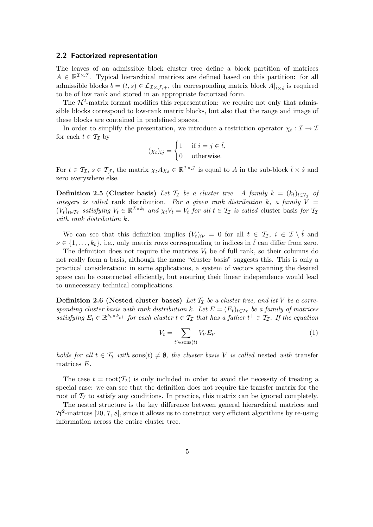#### **2.2 Factorized representation**

The leaves of an admissible block cluster tree define a block partition of matrices  $A \in \mathbb{R}^{\mathcal{I} \times \mathcal{J}}$ . Typical hierarchical matrices are defined based on this partition: for all admissible blocks  $b = (t, s) \in \mathcal{L}_{\mathcal{I} \times \mathcal{J}, +}$ , the corresponding matrix block  $A|_{\hat{t} \times \hat{s}}$  is required to be of low rank and stored in an appropriate factorized form.

The  $\mathcal{H}^2$ -matrix format modifies this representation: we require not only that admissible blocks correspond to low-rank matrix blocks, but also that the range and image of these blocks are contained in predefined spaces.

In order to simplify the presentation, we introduce a restriction operator  $\chi_t : \mathcal{I} \to \mathcal{I}$ for each  $t \in \mathcal{T}_{\mathcal{T}}$  by

$$
(\chi_t)_{ij} = \begin{cases} 1 & \text{if } i = j \in \hat{t}, \\ 0 & \text{otherwise.} \end{cases}
$$

For  $t \in \mathcal{T}_{\mathcal{I}}, s \in \mathcal{T}_{\mathcal{J}},$  the matrix  $\chi_t A \chi_s \in \mathbb{R}^{\mathcal{I} \times \mathcal{J}}$  is equal to A in the sub-block  $\hat{t} \times \hat{s}$  and zero everywhere else.

**Definition 2.5 (Cluster basis)** *Let*  $\mathcal{T}_I$  *be a cluster tree.* A family  $k = (k_t)_{t \in \mathcal{T}_I}$  of *integers is called* rank distribution. For a given rank distribution  $k$ , a family  $V =$  $(V_t)_{t \in \mathcal{T}_{\mathcal{I}}}$  *satisfying*  $V_t \in \mathbb{R}^{\mathcal{I} \times k_t}$  *and*  $\chi_t V_t = V_t$  *for all*  $t \in \mathcal{T}_{\mathcal{I}}$  *is called* cluster basis *for*  $\mathcal{T}_{\mathcal{I}}$ *with rank distribution* k*.*

We can see that this definition implies  $(V_t)_{i\nu} = 0$  for all  $t \in \mathcal{T}_{\mathcal{I}}$ ,  $i \in \mathcal{I} \setminus \hat{t}$  and  $\nu \in \{1, \ldots, k_t\}$ , i.e., only matrix rows corresponding to indices in  $\hat{t}$  can differ from zero.

The definition does not require the matrices  $V_t$  be of full rank, so their columns do not really form a basis, although the name "cluster basis" suggests this. This is only a practical consideration: in some applications, a system of vectors spanning the desired space can be constructed efficiently, but ensuring their linear independence would lead to unnecessary technical complications.

**Definition 2.6 (Nested cluster bases)** Let  $\mathcal{T}_I$  be a cluster tree, and let V be a corre*sponding cluster basis with rank distribution* k. Let  $E = (E_t)_{t \in \mathcal{T}_T}$  be a family of matrices  $satisfying E_t \in \mathbb{R}^{k_t \times k_{t+1}}$  *for each cluster*  $t \in \mathcal{T}_{\mathcal{I}}$  *that has a father*  $t^+ \in \mathcal{T}_{\mathcal{I}}$ *. If the equation* 

$$
V_t = \sum_{t' \in \text{sons}(t)} V_{t'} E_{t'} \tag{1}
$$

*holds for all*  $t \in \mathcal{T}_{\mathcal{I}}$  *with* sons $(t) \neq \emptyset$ *, the cluster basis* V *is called* nested *with* transfer matrices E*.*

The case  $t = root(\mathcal{T}_{\mathcal{I}})$  is only included in order to avoid the necessity of treating a special case: we can see that the definition does not require the transfer matrix for the root of  $\mathcal{T}_{\mathcal{I}}$  to satisfy any conditions. In practice, this matrix can be ignored completely.

The nested structure is the key difference between general hierarchical matrices and  $\mathcal{H}^2$ -matrices [20, 7, 8], since it allows us to construct very efficient algorithms by re-using information across the entire cluster tree.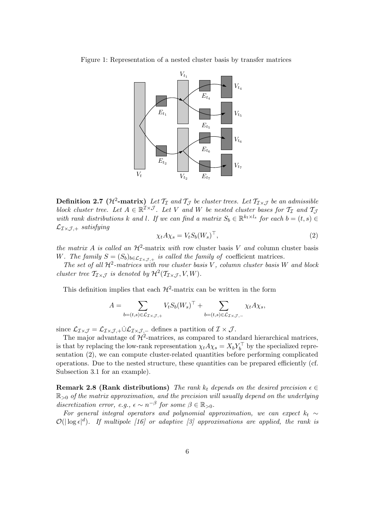Figure 1: Representation of a nested cluster basis by transfer matrices



**Definition 2.7** ( $\mathcal{H}^2$ -matrix) Let  $\mathcal{T}_{\mathcal{I}}$  and  $\mathcal{T}_{\mathcal{J}}$  be cluster trees. Let  $\mathcal{T}_{\mathcal{I}\times\mathcal{J}}$  be an admissible *block cluster tree. Let*  $A \in \mathbb{R}^{\mathcal{I} \times \mathcal{J}}$ *. Let* V and W *be nested cluster bases for*  $\mathcal{T}_{\mathcal{I}}$  and  $\mathcal{T}_{\mathcal{J}}$ *with rank distributions* k and l. If we can find a matrix  $S_b \in \mathbb{R}^{k_t \times l_s}$  for each  $b = (t, s) \in$  $\mathcal{L}_{\mathcal{I}\times\mathcal{J},+}$  *satisfying* 

$$
\chi_t A \chi_s = V_t S_b (W_s)^\top,\tag{2}
$$

*the matrix* A *is called an*  $\mathcal{H}^2$ -matrix *with* row cluster basis V *and* column cluster basis W. The family  $S = (S_b)_{b \in \mathcal{L}_{\mathcal{I} \times \mathcal{J}, +}}$  *is called the family of* coefficient matrices.

*The set of all* H2*-matrices with row cluster basis* V *, column cluster basis* W *and block cluster tree*  $\mathcal{T}_{\mathcal{I}\times\mathcal{I}}$  *is denoted by*  $\mathcal{H}^2(\mathcal{T}_{\mathcal{I}\times\mathcal{I}}, V, W)$ *.* 

This definition implies that each  $\mathcal{H}^2$ -matrix can be written in the form

$$
A = \sum_{b=(t,s)\in\mathcal{L}_{\mathcal{I}\times\mathcal{J},+}} V_t S_b(W_s)^\top + \sum_{b=(t,s)\in\mathcal{L}_{\mathcal{I}\times\mathcal{J},-}} \chi_t A \chi_s,
$$

since  $\mathcal{L}_{\mathcal{I}\times\mathcal{J}} = \mathcal{L}_{\mathcal{I}\times\mathcal{J},+} \dot{\cup} \mathcal{L}_{\mathcal{I}\times\mathcal{J},-}$  defines a partition of  $\mathcal{I}\times\mathcal{J}$ .

The major advantage of  $H^2$ -matrices, as compared to standard hierarchical matrices, is that by replacing the low-rank representation  $\chi_t A \chi_s = X_b Y_b^{\dagger}$  by the specialized representation (2), we can compute cluster-related quantities before performing complicated operations. Due to the nested structure, these quantities can be prepared efficiently (cf. Subsection 3.1 for an example).

**Remark 2.8 (Rank distributions)** *The rank*  $k_t$  *depends on the desired precision*  $\epsilon \in$ R><sup>0</sup> *of the matrix approximation, and the precision will usually depend on the underlying discretization error, e.g.,*  $\epsilon \sim n^{-\beta}$  *for some*  $\beta \in \mathbb{R}_{>0}$ *.* 

*For general integral operators and polynomial approximation, we can expect*  $k_t \sim$  $\mathcal{O}(|\log \epsilon|^d)$ . If multipole [16] or adaptive [3] approximations are applied, the rank is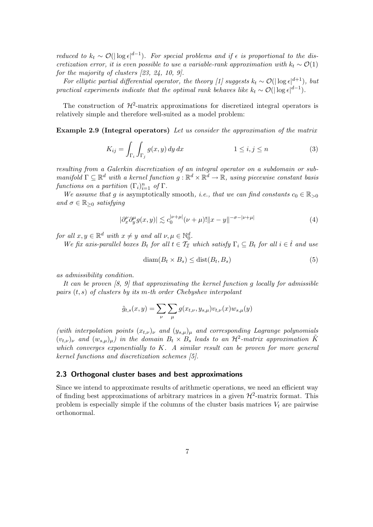*reduced to*  $k_t \sim \mathcal{O}(|\log \epsilon|^{d-1})$ . For special problems and if  $\epsilon$  is proportional to the dis*cretization error, it is even possible to use a variable-rank approximation with*  $k_t \sim \mathcal{O}(1)$ *for the majority of clusters [23, 24, 10, 9].*

*For elliptic partial differential operator, the theory [1] suggests*  $k_t \sim \mathcal{O}(|\log \epsilon|^{d+1})$ , but *practical experiments indicate that the optimal rank behaves like*  $k_t \sim \mathcal{O}(|\log \epsilon|^{d-1})$ .

The construction of  $\mathcal{H}^2$ -matrix approximations for discretized integral operators is relatively simple and therefore well-suited as a model problem:

**Example 2.9 (Integral operators)** *Let us consider the approximation of the matrix*

$$
K_{ij} = \int_{\Gamma_i} \int_{\Gamma_j} g(x, y) \, dy \, dx \qquad \qquad 1 \le i, j \le n \qquad (3)
$$

*resulting from a Galerkin discretization of an integral operator on a subdomain or submanifold*  $\Gamma \subset \mathbb{R}^d$  *with a kernel function*  $q : \mathbb{R}^d \times \mathbb{R}^d \to \mathbb{R}$ *, using piecewise constant basis functions on a partition*  $(\Gamma_i)_{i=1}^n$  *of*  $\Gamma$ *.* 

*We assume that* g *is* asymptotically smooth, *i.e., that we can find constants*  $c_0 \in \mathbb{R}_{>0}$ *and*  $\sigma \in \mathbb{R}_{\geq 0}$  *satisfying* 

$$
|\partial_x^{\nu}\partial_y^{\mu}g(x,y)| \lesssim c_0^{|\nu+\mu|}(\nu+\mu)!\|x-y\|^{-\sigma-|\nu+\mu|}
$$
 (4)

*for all*  $x, y \in \mathbb{R}^d$  *with*  $x \neq y$  *and all*  $\nu, \mu \in \mathbb{N}_0^d$ .

*We fix axis-parallel boxes*  $B_t$  *for all*  $t \in \mathcal{T}_{\mathcal{I}}$  *which satisfy*  $\Gamma_i \subseteq B_t$  *for all*  $i \in \hat{t}$  *and use* 

$$
\text{diam}(B_t \times B_s) \le \text{dist}(B_t, B_s) \tag{5}
$$

*as admissibility condition.*

*It can be proven [8, 9] that approximating the kernel function* g *locally for admissible pairs* (t, s) *of clusters by its* m*-th order Chebyshev interpolant*

$$
\tilde{g}_{t,s}(x,y) = \sum_{\nu} \sum_{\mu} g(x_{t,\nu}, y_{s,\mu}) v_{t,\nu}(x) w_{s,\mu}(y)
$$

*(with interpolation points*  $(x_{t,\nu})_{\nu}$  *and*  $(y_{s,\mu})_{\mu}$  *and corresponding Lagrange polynomials*  $(v_{t,\nu})_{\nu}$  *and*  $(w_{s,\mu})_{\mu}$  *in the domain*  $B_t \times B_s$  *leads to an*  $\mathcal{H}^2$ -matrix approximation K *which converges exponentially to* K*. A similar result can be proven for more general kernel functions and discretization schemes [5].*

#### **2.3 Orthogonal cluster bases and best approximations**

Since we intend to approximate results of arithmetic operations, we need an efficient way of finding best approximations of arbitrary matrices in a given  $\mathcal{H}^2$ -matrix format. This problem is especially simple if the columns of the cluster basis matrices  $V_t$  are pairwise orthonormal.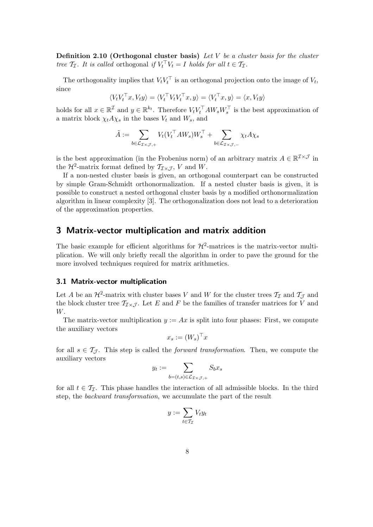**Definition 2.10 (Orthogonal cluster basis)** *Let* V *be a cluster basis for the cluster tree*  $\mathcal{T}_{\mathcal{I}}$ *. It is called* orthogonal *if*  $V_t$ <sup> $\mid$ </sup> $V_t = I$  *holds for all*  $t \in \mathcal{T}_{\mathcal{I}}$ *.* 

The orthogonality implies that  $V_tV_t^{\dagger}$  is an orthogonal projection onto the image of  $V_t$ , since

$$
\langle V_t V_t^\top x, V_t y \rangle = \langle V_t^\top V_t V_t^\top x, y \rangle = \langle V_t^\top x, y \rangle = \langle x, V_t y \rangle
$$

holds for all  $x \in \mathbb{R}^{\mathcal{I}}$  and  $y \in \mathbb{R}^{k_t}$ . Therefore  $V_t V_t^{\top} A W_s W_s^{\top}$  is the best approximation of a matrix block  $\chi_t A \chi_s$  in the bases  $V_t$  and  $W_s$ , and

$$
\tilde{A}:=\sum_{b\in \mathcal{L}_{\mathcal{I}\times\mathcal{J},+}}V_t(V_t^\top A W_s)W_s^\top+\sum_{b\in \mathcal{L}_{\mathcal{I}\times\mathcal{J},-}}\chi_t A \chi_s
$$

is the best approximation (in the Frobenius norm) of an arbitrary matrix  $A \in \mathbb{R}^{\mathcal{I} \times \mathcal{J}}$  in the  $\mathcal{H}^2$ -matrix format defined by  $\mathcal{T}_{\mathcal{I}\times\mathcal{J}}$ , V and W.

If a non-nested cluster basis is given, an orthogonal counterpart can be constructed by simple Gram-Schmidt orthonormalization. If a nested cluster basis is given, it is possible to construct a nested orthogonal cluster basis by a modified orthonormalization algorithm in linear complexity [3]. The orthogonalization does not lead to a deterioration of the approximation properties.

# **3 Matrix-vector multiplication and matrix addition**

The basic example for efficient algorithms for  $\mathcal{H}^2$ -matrices is the matrix-vector multiplication. We will only briefly recall the algorithm in order to pave the ground for the more involved techniques required for matrix arithmetics.

#### **3.1 Matrix-vector multiplication**

Let A be an  $\mathcal{H}^2$ -matrix with cluster bases V and W for the cluster trees  $\mathcal{T}_{\mathcal{I}}$  and  $\mathcal{T}_{\mathcal{J}}$  and the block cluster tree  $\mathcal{T}_{\mathcal{I}\times\mathcal{J}}$ . Let E and F be the families of transfer matrices for V and W.

The matrix-vector multiplication  $y := Ax$  is split into four phases: First, we compute the auxiliary vectors

$$
x_s := (W_s)^\top x
$$

for all  $s \in \mathcal{T}_{\mathcal{J}}$ . This step is called the *forward transformation*. Then, we compute the auxiliary vectors

$$
y_t := \sum_{b=(t,s)\in \mathcal{L}_{\mathcal{I}\times\mathcal{J},+}} S_b x_s
$$

for all  $t \in \mathcal{T}_{\mathcal{T}}$ . This phase handles the interaction of all admissible blocks. In the third step, the *backward transformation*, we accumulate the part of the result

$$
y:=\sum_{t\in \mathcal{T}_{\mathcal{I}}} V_t y_t
$$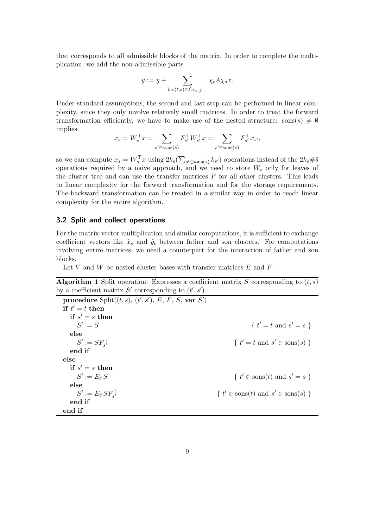that corresponds to all admissible blocks of the matrix. In order to complete the multiplication, we add the non-admissible parts

$$
y := y + \sum_{b=(t,s)\in \mathcal{L}_{\mathcal{I}\times\mathcal{J},-}} \chi_t A \chi_s x.
$$

Under standard assumptions, the second and last step can be performed in linear complexity, since they only involve relatively small matrices. In order to treat the forward transformation efficiently, we have to make use of the nested structure: sons(s)  $\neq \emptyset$ implies

$$
x_s = W_s^\top x = \sum_{s' \in \text{sons}(s)} F_{s'}^\top W_{s'}^\top x = \sum_{s' \in \text{sons}(s)} F_{s'}^\top x_{s'},
$$

so we can compute  $x_s = W_s^\top x$  using  $2k_s(\sum_{s' \in \text{sons}(s)} k_{s'})$  operations instead of the  $2k_s \# \hat{s}$ operations required by a naive approach, and we need to store  $W_s$  only for leaves of the cluster tree and can use the transfer matrices  $F$  for all other clusters. This leads to linear complexity for the forward transformation and for the storage requirements. The backward transformation can be treated in a similar way in order to reach linear complexity for the entire algorithm.

#### **3.2 Split and collect operations**

For the matrix-vector multiplication and similar computations, it is sufficient to exchange coefficient vectors like  $\hat{x}_s$  and  $\hat{y}_t$  between father and son clusters. For computations involving entire matrices, we need a counterpart for the interaction of father and son blocks.

Let V and W be nested cluster bases with transfer matrices  $E$  and  $F$ .

**Algorithm 1** Split operation: Expresses a coefficient matrix S corresponding to  $(t, s)$ by a coefficient matrix S' corresponding to  $(t', s')$ 

 $\textbf{procedure}\ \text{Split}((t,s),\ (t',s'),\ E,\ F,\ S,\ \textbf{var}\ \ S')$  $\mathbf{if} \ t' = t \ \mathbf{then}$  $\mathbf{if} \ s' = s \ \mathbf{then}$  $S':=S$  $\{t := S$  $t' = t$  and  $s' = s$  } **else**  $S':=SF_{s'}^{-1}$  $s'$  { t  $t' = t$  and  $s' \in \text{sons}(s)$  } **end if else**  $\mathbf{if} \ s' = s \ \mathbf{then}$  $S' := E_{t'}S$  { t  $s' \in \text{sons}(t)$  and  $s' = s$ } **else**  $S' := E_{t'} S F_{s'}^{\perp}$  $\{t' \}$  $\ell \in \text{sons}(t)$  and  $s' \in \text{sons}(s)$  } **end if end if**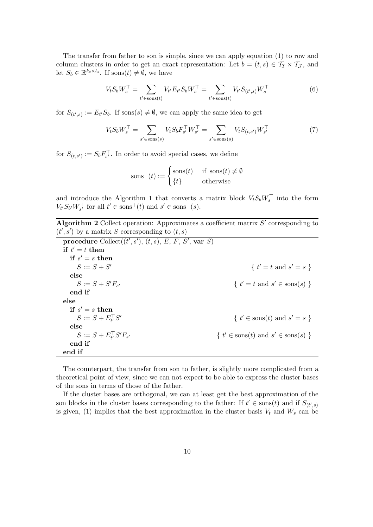The transfer from father to son is simple, since we can apply equation (1) to row and column clusters in order to get an exact representation: Let  $b = (t, s) \in T_I \times T_J$ , and let  $S_b \in \mathbb{R}^{k_t \times l_s}$ . If sons $(t) \neq \emptyset$ , we have

$$
V_t S_b W_s^{\top} = \sum_{t' \in \text{sons}(t)} V_{t'} E_{t'} S_b W_s^{\top} = \sum_{t' \in \text{sons}(t)} V_{t'} S_{(t',s)} W_s^{\top}
$$
(6)

for  $S_{(t',s)} := E_{t'}S_b$ . If sons $(s) \neq \emptyset$ , we can apply the same idea to get

$$
V_t S_b W_s^{\top} = \sum_{s' \in \text{sons}(s)} V_t S_b F_{s'}^{\top} W_{s'}^{\top} = \sum_{s' \in \text{sons}(s)} V_t S_{(t, s')} W_{s'}^{\top} \tag{7}
$$

for  $S_{(t,s')} := S_b F_{s'}^{\perp}$ . In order to avoid special cases, we define

$$
sons^{+}(t) := \begin{cases} \text{sons}(t) & \text{if } \text{sons}(t) \neq \emptyset \\ \{t\} & \text{otherwise} \end{cases}
$$

and introduce the Algorithm 1 that converts a matrix block  $V_tS_bW_s^{\perp}$  into the form  $V_{t'}S_{b'}W_{s'}^{\top}$  for all  $t' \in \text{sons}^+(t)$  and  $s' \in \text{sons}^+(s)$ .

**Algorithm 2** Collect operation: Approximates a coefficient matrix  $S'$  corresponding to  $(t', s')$  by a matrix S corresponding to  $(t, s)$ 

| <b>procedure</b> Collect $((t', s'), (t, s), E, F, S', \text{var } S)$ |                                                                 |
|------------------------------------------------------------------------|-----------------------------------------------------------------|
| if $t' = t$ then                                                       |                                                                 |
| if $s' = s$ then                                                       |                                                                 |
| $S := S + S'$                                                          | { $t' = t$ and $s' = s$ }                                       |
| else                                                                   |                                                                 |
| $S := S + S'F_{s'}$                                                    | $\{t' = t \text{ and } s' \in \text{sons}(s)\}\$                |
| end if                                                                 |                                                                 |
| else                                                                   |                                                                 |
| if $s' = s$ then                                                       |                                                                 |
| $S := S + E_{\mu}^{\top} S'$                                           | $\{t' \in \text{sons}(t) \text{ and } s' = s\}$                 |
| else                                                                   |                                                                 |
| $S := S + E_{t'}^{\top} S' F_{s'}$                                     | $\{t' \in \text{sons}(t) \text{ and } s' \in \text{sons}(s)\}\$ |
| end if                                                                 |                                                                 |
| end if                                                                 |                                                                 |

The counterpart, the transfer from son to father, is slightly more complicated from a theoretical point of view, since we can not expect to be able to express the cluster bases of the sons in terms of those of the father.

If the cluster bases are orthogonal, we can at least get the best approximation of the son blocks in the cluster bases corresponding to the father: If  $t' \in \text{sons}(t)$  and if  $S_{(t',s)}$ is given, (1) implies that the best approximation in the cluster basis  $V_t$  and  $W_s$  can be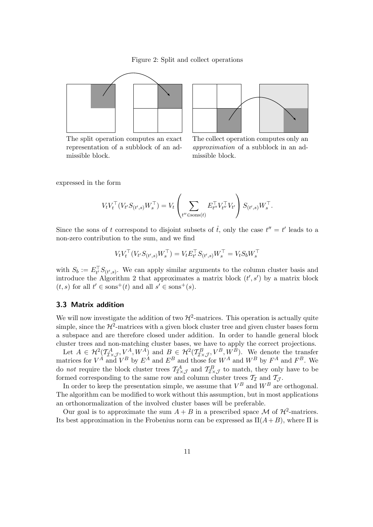Figure 2: Split and collect operations



The split operation computes an exact representation of a subblock of an admissible block.



The collect operation computes only an *approximation* of a subblock in an admissible block.

expressed in the form

$$
V_t V_t^\top (V_{t'} S_{(t',s)} W_s^\top) = V_t \left( \sum_{t'' \in \text{sons}(t)} E_{t''}^\top V_{t''}^\top V_{t'} \right) S_{(t',s)} W_s^\top.
$$

Since the sons of t correspond to disjoint subsets of  $\hat{t}$ , only the case  $t'' = t'$  leads to a non-zero contribution to the sum, and we find

$$
V_tV_t^\top (V_{t'}S_{(t',s)}W_s^\top)=V_tE_{t'}^\top S_{(t',s)}W_s^\top=V_tS_bW_s^\top
$$

with  $S_b := E_{t'}^{\perp} S_{(t',s)}$ . We can apply similar arguments to the column cluster basis and introduce the Algorithm 2 that approximates a matrix block  $(t', s')$  by a matrix block  $(t, s)$  for all  $t' \in \text{sons}^+(t)$  and all  $s' \in \text{sons}^+(s)$ .

#### **3.3 Matrix addition**

We will now investigate the addition of two  $\mathcal{H}^2$ -matrices. This operation is actually quite simple, since the  $\mathcal{H}^2$ -matrices with a given block cluster tree and given cluster bases form a subspace and are therefore closed under addition. In order to handle general block cluster trees and non-matching cluster bases, we have to apply the correct projections.

Let  $A \in \mathcal{H}^2(\mathcal{I}_{\mathcal{I}\times\mathcal{J}}^A, V^A, W^A)$  and  $B \in \mathcal{H}^2(\mathcal{I}_{\mathcal{I}\times\mathcal{J}}^B, V^B, W^B)$ . We denote the transfer matrices for  $V^{\hat{A}}$  and  $V^B$  by  $E^{\hat{A}}$  and  $E^B$  and those for  $W^A$  and  $W^B$  by  $F^A$  and  $F^B$ . We do *not* require the block cluster trees  $T_{\mathcal{I}\times\mathcal{J}}^A$  and  $T_{\mathcal{I}\times\mathcal{J}}^B$  to match, they only have to be formed corresponding to the same row and column cluster trees  $\mathcal{T}_{\mathcal{I}}$  and  $\mathcal{T}_{\mathcal{J}}$ .

In order to keep the presentation simple, we assume that  $V^B$  and  $W^B$  are orthogonal. The algorithm can be modified to work without this assumption, but in most applications an orthonormalization of the involved cluster bases will be preferable.

Our goal is to approximate the sum  $A + B$  in a prescribed space M of  $\mathcal{H}^2$ -matrices. Its best approximation in the Frobenius norm can be expressed as  $\Pi(A+B)$ , where  $\Pi$  is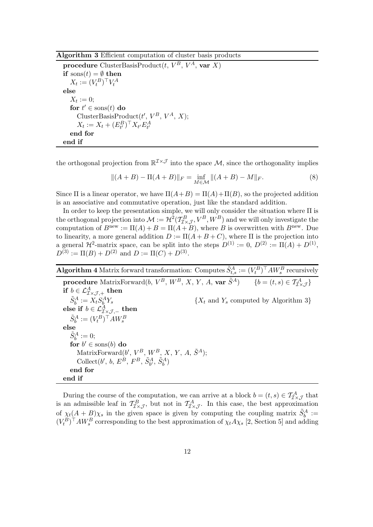**Algorithm 3** Efficient computation of cluster basis products

**procedure** ClusterBasisProduct $(t, V^B, V^A, \textbf{var } X)$ **if**  $sons(t) = \emptyset$  **then**  $X_t := (V_t^B)^\top V_t^A$ **else**  $X_t := 0;$  $\mathbf{for}~t' \in \mathrm{sons}(t)~\mathbf{do}$ ClusterBasisProduct $(t', V^B, V^A, X);$  $X_t := X_t + (E^B_{t'})^{\top} X_{t'} E^A_{t'}$ **end for end if**

the orthogonal projection from  $\mathbb{R}^{I\times J}$  into the space M, since the orthogonality implies

$$
||(A + B) - \Pi(A + B)||_F = \inf_{M \in \mathcal{M}}||(A + B) - M||_F.
$$
 (8)

Since  $\Pi$  is a linear operator, we have  $\Pi(A+B) = \Pi(A)+\Pi(B)$ , so the projected addition is an associative and commutative operation, just like the standard addition.

In order to keep the presentation simple, we will only consider the situation where Π is the orthogonal projection into  $\mathcal{M} := \mathcal{H}^2(\mathcal{T}_{\mathcal{I}\times\mathcal{J}}^B, W^B)$  and we will only investigate the computation of  $B^{\text{new}} := \Pi(A) + B = \Pi(A + B)$ , where B is overwritten with  $B^{\text{new}}$ . Due to linearity, a more general addition  $D := \Pi(A + B + C)$ , where  $\Pi$  is the projection into a general  $\mathcal{H}^2$ -matrix space, can be split into the steps  $D^{(1)} := 0$ ,  $D^{(2)} := \Pi(A) + D^{(1)}$ ,  $D^{(3)} := \Pi(B) + D^{(2)}$  and  $D := \Pi(C) + D^{(3)}$ .

**Algorithm 4** Matrix forward transformation: Computes  $\tilde{S}_{t,s}^A := (V_t^B)^\top A W_s^B$  recursively **procedure** MatrixForward(b,  $V^B$ ,  $W^B$ , X, Y, A, **var**  $\tilde{S}^A$ ) { $b = (t, s) \in \mathcal{T}^A_{\mathcal{IX},\mathcal{J}}$ }  $\mathbf{if} \ b \in \mathcal{L}^A_{\mathcal{I} \times \mathcal{J}, +} \ \mathbf{then}$  $\tilde{S}_b^A := X_t \tilde{S}_b^A$  ${X_t}$  and  ${Y_s}$  computed by Algorithm 3} **else** if  $b \in \mathcal{L}_{\mathcal{I}\times\mathcal{J},-}^{\mathcal{A}}$  then  $\tilde{S}_b^A := (V_t^B)^\top A W_s^B$ **else**  $\tilde{S}_b^A := 0;$  $\mathbf{for}~b' \in \mathrm{sons}(b)~\mathbf{do}$ MatrixForward $(b', V^B, W^B, X, Y, A, \tilde{S}^A);$ Collect $(b', b, E^B, F^B, \tilde{S}_{b'}^A, \tilde{S}_b^A)$ **end for end if**

During the course of the computation, we can arrive at a block  $b = (t, s) \in T_{\mathcal{I} \times \mathcal{J}}^A$  that is an admissible leaf in  $T_{\mathcal{I}\times\mathcal{J}}^B$ , but not in  $T_{\mathcal{I}\times\mathcal{J}}^A$ . In this case, the best approximation of  $\chi_t(A+B)\chi_s$  in the given space is given by computing the coupling matrix  $\tilde{S}_b^A$  :=  $(V_t^B)^{\dagger} A W_s^B$  corresponding to the best approximation of  $\chi_t A \chi_s$  [2, Section 5] and adding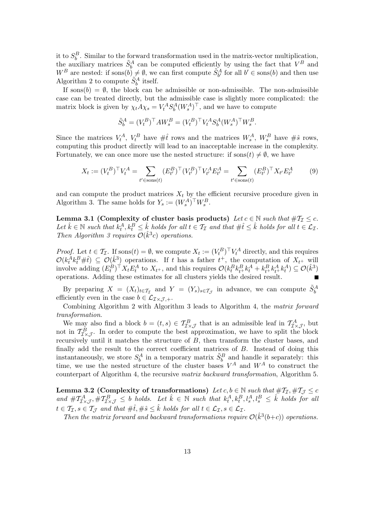it to  $S_b^B$ . Similar to the forward transformation used in the matrix-vector multiplication, the auxiliary matrices  $\tilde{S}_b^A$  can be computed efficiently by using the fact that  $V^B$  and  $W^B$  are nested: if sons $(b) \neq \emptyset$ , we can first compute  $\tilde{S}_{b'}^A$  for all  $b' \in \text{sons}(b)$  and then use Algorithm 2 to compute  $\tilde{S}_b^A$  itself.

If sons $(b) = \emptyset$ , the block can be admissible or non-admissible. The non-admissible case can be treated directly, but the admissible case is slightly more complicated: the matrix block is given by  $\chi_t A \chi_s = V_t^A S_b^A (W_s^A)^{\top}$ , and we have to compute

$$
\tilde{S}_b^A = (V_t^B)^{\top} A W_s^B = (V_t^B)^{\top} V_t^A S_b^A (W_s^A)^{\top} W_s^B.
$$

Since the matrices  $V_t^A$ ,  $V_t^B$  have  $\#\hat{t}$  rows and the matrices  $W_s^A$ ,  $W_s^B$  have  $\#\hat{s}$  rows, computing this product directly will lead to an inacceptable increase in the complexity. Fortunately, we can once more use the nested structure: if  $\text{sons}(t) \neq \emptyset$ , we have

$$
X_t := (V_t^B)^\top V_t^A = \sum_{t' \in \text{sons}(t)} (E_{t'}^B)^\top (V_{t'}^B)^\top V_{t'}^A E_{t'}^A = \sum_{t' \in \text{sons}(t)} (E_{t'}^B)^\top X_{t'} E_{t'}^A \tag{9}
$$

and can compute the product matrices  $X_t$  by the efficient recursive procedure given in Algorithm 3. The same holds for  $Y_s := (W_s^A)^\top W_s^B$ .

**Lemma 3.1 (Complexity of cluster basis products)** *Let*  $c \in \mathbb{N}$  *such that*  $\#T_1 \leq c$ *.* Let  $\hat{k} \in \mathbb{N}$  such that  $k_t^A, k_t^B \leq \hat{k}$  holds for all  $t \in \mathcal{T}_{\mathcal{I}}$  and that  $\#\hat{t} \leq \hat{k}$  holds for all  $t \in \mathcal{L}_{\mathcal{I}}$ . *Then Algorithm 3 requires*  $\mathcal{O}(\hat{k}^3 c)$  *operations.* 

*Proof.* Let  $t \in \mathcal{T}_{\mathcal{I}}$ . If sons $(t) = \emptyset$ , we compute  $X_t := (V_t^B)^{\top} V_t^A$  directly, and this requires  $\mathcal{O}(k_t^A k_t^B \# \hat{t}) \subseteq \mathcal{O}(\hat{k}^3)$  operations. If t has a father  $t^+$ , the computation of  $X_{t^+}$  will involve adding  $(E_t^B)^\dagger X_t E_t^A$  to  $X_{t+}$ , and this requires  $\mathcal{O}(k_t^B k_{t+}^B k_t^A + k_{t+}^B k_{t+}^A k_t^A) \subseteq \mathcal{O}(\hat{k}^3)$ operations. Adding these estimates for all clusters yields the desired result.

By preparing  $X = (X_t)_{t \in \mathcal{T}_{\mathcal{I}}}$  and  $Y = (Y_s)_{s \in \mathcal{T}_{\mathcal{J}}}$  in advance, we can compute  $\tilde{S}_b^A$ efficiently even in the case  $b \in \mathcal{L}_{\mathcal{I} \times \mathcal{I} + \mathcal{I}}$ .

Combining Algorithm 2 with Algorithm 3 leads to Algorithm 4, the *matrix forward transformation*.

We may also find a block  $b = (t, s) \in \mathcal{T}_{\mathcal{I}\times\mathcal{J}}^B$  that is an admissible leaf in  $\mathcal{T}_{\mathcal{I}\times\mathcal{J}}^A$ , but not in  $T_{\mathcal{I}\times\mathcal{J}}^{\tilde{B}}$ . In order to compute the best approximation, we have to split the block recursively until it matches the structure of B, then transform the cluster bases, and finally add the result to the correct coefficient matrices of B. Instead of doing this instantaneously, we store  $S_b^A$  in a temporary matrix  $\tilde{S}_b^B$  and handle it separately: this time, we use the nested structure of the cluster bases  $V^A$  and  $W^A$  to construct the counterpart of Algorithm 4, the recursive *matrix backward transformation*, Algorithm 5.

**Lemma 3.2 (Complexity of transformations)** *Let*  $c, b \in \mathbb{N}$  *such that*  $\#T_{\mathcal{I}}, \#T_{\mathcal{J}} \leq c$  $and \#T^A_{\mathcal{I}\times\mathcal{J}}, \#T^B_{\mathcal{I}\times\mathcal{J}} \leq b$  holds. Let  $\hat{k} \in \mathbb{N}$  such that  $k_t^A, k_t^B, l_s^A, l_s^B \leq \hat{k}$  holds for all  $t \in \mathcal{T}_{\mathcal{I}}, s \in \mathcal{T}_{\mathcal{J}}$  and that  $\#\hat{t}, \#\hat{s} \leq \hat{k}$  holds for all  $t \in \mathcal{L}_{\mathcal{I}}, s \in \mathcal{L}_{\mathcal{I}}$ .

*Then the matrix forward and backward transformations require*  $\mathcal{O}(\hat{k}^3(b+c))$  *operations.*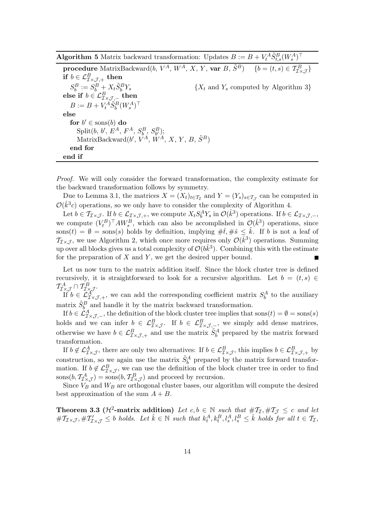**Algorithm 5** Matrix backward transformation: Updates  $B := B + V_t^A \tilde{S}_{t,s}^B (W_s^A)^{\top}$ 

**procedure** MatrixBackward(b,  $V^A$ ,  $W^A$ , X, Y, **var** B,  $\tilde{S}^B$ ) {b = (t, s)  $\in \mathcal{T}_{\mathcal{I}\times\mathcal{J}}^B$ }  $\textbf{if } b \in \mathcal{L}^B_{\mathcal{I} \times \mathcal{J},+} \textbf{ then }$  $S_b^B := S_b^B + X_t \tilde{S}_b^B$  ${X_t}$  and  ${Y_s}$  computed by Algorithm 3} **else** if  $b \in \mathcal{L}_{\mathcal{I}\times\mathcal{J},-}^B$  then  $B:=B+V_t^A \tilde{S}_b^B (W_s^A)^\top$ **else**  $\mathbf{for}~b' \in \mathrm{sons}(b)~\mathbf{do}$  $Split(b, b', E^A, F^A, S_b^B, S_{b'}^B);$  $\text{MatrixBackward}(b', V^A, W^A, X, Y, B, \tilde{S}^B)$ **end for end if**

*Proof.* We will only consider the forward transformation, the complexity estimate for the backward transformation follows by symmetry.

Due to Lemma 3.1, the matrices  $X = (X_t)_{t \in \mathcal{T}_{\mathcal{I}}}$  and  $Y = (Y_s)_{s \in \mathcal{T}_{\mathcal{I}}}$  can be computed in  $\mathcal{O}(\hat{k}^3c)$  operations, so we only have to consider the complexity of Algorithm 4.

Let  $b \in \mathcal{I}_{\mathcal{I}\times\mathcal{J}}$ . If  $b \in \mathcal{L}_{\mathcal{I}\times\mathcal{J},+}$ , we compute  $X_t S_b^A Y_s$  in  $\mathcal{O}(\hat{k}^3)$  operations. If  $b \in \mathcal{L}_{\mathcal{I}\times\mathcal{J},-}$ , we compute  $(V_t^B)^\top A W_s^B$ , which can also be accomplished in  $\mathcal{O}(\hat{k}^3)$  operations, since  $\text{sons}(t) = \emptyset = \text{sons}(s)$  holds by definition, implying  $\#\hat{t}, \#\hat{s} \leq \hat{k}$ . If b is not a leaf of  $\mathcal{T}_{\mathcal{I}\times\mathcal{J}}$ , we use Algorithm 2, which once more requires only  $\mathcal{O}(\hat{k}^3)$  operations. Summing up over all blocks gives us a total complexity of  $\mathcal{O}(b\hat{k}^3)$ . Combining this with the estimate for the preparation of  $X$  and  $Y$ , we get the desired upper bound.

Let us now turn to the matrix addition itself. Since the block cluster tree is defined recursively, it is straightforward to look for a recursive algorithm. Let  $b = (t, s) \in$  $\mathcal{T}^{A}_{\mathcal{I}\times\mathcal{J}}\cap\mathcal{T}^{B}_{\mathcal{I}\times\mathcal{J}}.$ 

If  $b \in \mathcal{L}^{\mathcal{A}}_{\mathcal{I}\times\mathcal{J},+}$ , we can add the corresponding coefficient matrix  $S_b^A$  to the auxiliary matrix  $\tilde{S}_b^B$  and handle it by the matrix backward transformation.

If  $b \in \mathcal{L}_{\mathcal{I}\times\mathcal{J},-}^A$ , the definition of the block cluster tree implies that sons $(t) = \emptyset = \text{sons}(s)$ holds and we can infer  $b \in \mathcal{L}^B_{\mathcal{I}\times\mathcal{J}}$ . If  $b \in \mathcal{L}^B_{\mathcal{I}\times\mathcal{J},\mathcal{I}}$ , we simply add dense matrices, otherwise we have  $b \in \mathcal{L}^B_{\mathcal{I} \times \mathcal{J},+}$  and use the matrix  $\tilde{S}_b^A$  prepared by the matrix forward transformation.

If  $b \notin \mathcal{L}^A_{\mathcal{I}\times\mathcal{J}}$ , there are only two alternatives: If  $b \in \mathcal{L}^B_{\mathcal{I}\times\mathcal{J}}$ , this implies  $b \in \mathcal{L}^B_{\mathcal{I}\times\mathcal{J},+}$  by construction, so we again use the matrix  $\tilde{S}_b^A$  prepared by the matrix forward transformation. If  $b \notin \mathcal{L}_{\mathcal{I} \times \mathcal{J}}^B$ , we can use the definition of the block cluster tree in order to find  $\text{sons}(b, T_{\mathcal{I}\times\mathcal{J}}^A) = \text{sons}(b, T_{\mathcal{I}\times\mathcal{J}}^B)$  and proceed by recursion.

Since  $V_B$  and  $W_B$  are orthogonal cluster bases, our algorithm will compute the desired best approximation of the sum  $A + B$ .

**Theorem 3.3 (** $\mathcal{H}^2$ **-matrix addition)** *Let*  $c, b \in \mathbb{N}$  *such that*  $\#\mathcal{T}_{\mathcal{I}}, \#\mathcal{T}_{\mathcal{J}} \leq c$  *and let*  $#T_{\mathcal{I}\times\mathcal{J}},#T'_{\mathcal{I}\times\mathcal{J}} \leq b$  holds. Let  $\hat{k} \in \mathbb{N}$  such that  $k_t^A, k_t^B, l_s^A, l_s^B \leq \hat{k}$  holds for all  $t \in \mathcal{T}_{\mathcal{I}},$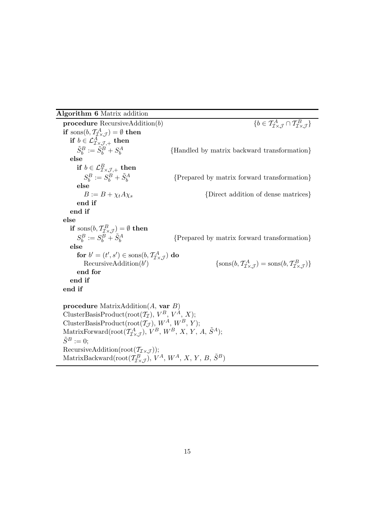# **Algorithm 6** Matrix addition

RecursiveAddition(root $(\mathcal{T}_{\mathcal{I}\times\mathcal{J}}));$ 

MatrixBackward(root( $\hat{T}_{\mathcal{I}\times\mathcal{J}}^B$ ),  $V^A$ ,  $W^A$ , X, Y, B,  $\tilde{S}^B$ )

**procedure**  $RecursivelyAddition(b)$  $\tau^A_{\mathcal{I}\times\mathcal{J}}\cap \mathcal{I}^B_{\mathcal{I}\times\mathcal{J}}\}$ **if** sons $(b, \mathcal{T}_{\mathcal{I}\times\mathcal{J}}^A) = \emptyset$  **then if**  $b \in \mathcal{L}_{\mathcal{I}\times\mathcal{J},+}^{\tilde{A}}$  **then**  $\tilde{S}^B_b := \tilde{S}^B_b + S^A_b$ <sup>b</sup> {Handled by matrix backward transformation} **else if**  $b \in \mathcal{L}_{\mathcal{I} \times \mathcal{J},+}^B$  **then**  $S_b^B := S_b^B + \tilde{S}_b^A$ <sup>b</sup> {Prepared by matrix forward transformation} **else**<br> $B := B + \chi_t A \chi_s$  $\{Direct addition of dense matrices\}$ **end if end if else if** sons $(b, T_{\mathcal{I} \times \mathcal{J}}^B) = \emptyset$  **then**  $S_b^B := S_b^B + \tilde{S}_b^A$ <sup>b</sup> {Prepared by matrix forward transformation} **else for**  $b' = (t', s') \in \text{sons}(b, \mathcal{T}_{\mathcal{I} \times \mathcal{J}}^A)$  **do**  $RecursivelyAddition(b'$  $\{\cos(b, \mathcal{T}_{\mathcal{I}\times\mathcal{J}}^A) = \cos(b, \mathcal{T}_{\mathcal{I}\times\mathcal{J}}^B)\}$ **end for end if end if procedure** MatrixAddition(A, **var** B) ClusterBasisProduct(root( $T_{\mathcal{I}}$ ),  $V^B$ ,  $V^{\hat{A}}$ ,  $X$ ); ClusterBasisProduct(root $(\mathcal{T}_{\mathcal{J}}), W^A, W^B, Y$ ); MatrixForward(root $(\mathcal{T}^A_{\mathcal{I}\times\mathcal{J}}), V^B, W^B, X, Y, A, \tilde{S}^A);$  $\tilde{S}^B := 0;$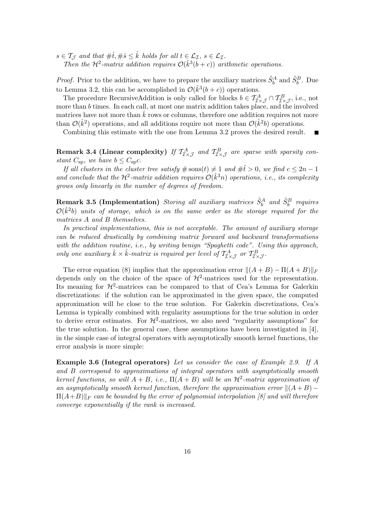$s \in \mathcal{T}_{\mathcal{J}}$  and that  $\#\hat{t}, \#\hat{s} \leq \hat{k}$  holds for all  $t \in \mathcal{L}_{\mathcal{I}}, s \in \mathcal{L}_{\mathcal{I}}$ . *Then the*  $\mathcal{H}^2$ -matrix addition requires  $\mathcal{O}(\hat{k}^3(b+c))$  arithmetic operations.

*Proof.* Prior to the addition, we have to prepare the auxiliary matrices  $\tilde{S}_b^A$  and  $\tilde{S}_b^B$ . Due to Lemma 3.2, this can be accomplished in  $\mathcal{O}(\hat{k}^3(b+c))$  operations.

The procedure RecursiveAddition is only called for blocks  $b \in \mathcal{T}^A_{\mathcal{I} \times \mathcal{J}} \cap \mathcal{T}^B_{\mathcal{I} \times \mathcal{J}}$ , i.e., not more than b times. In each call, at most one matrix addition takes place, and the involved matrices have not more than  $\hat{k}$  rows or columns, therefore one addition requires not more than  $\mathcal{O}(\hat{k}^2)$  operations, and all additions require not more than  $\mathcal{O}(\hat{k}^2b)$  operations.

Combining this estimate with the one from Lemma 3.2 proves the desired result.

**Remark 3.4 (Linear complexity)** If  $T_{\text{I} \times \text{J}}^A$  and  $T_{\text{I} \times \text{J}}^B$  are sparse with sparsity con*stant*  $C_{\text{sp}}$ *, we have*  $b \leq C_{\text{sp}}c$ *.* 

*If all clusters in the cluster tree satisfy*  $\#$  sons $(t) \neq 1$  *and*  $\#\hat{t} > 0$ *, we find*  $c \leq 2n - 1$ and conclude that the  $\mathcal{H}^2$ -matrix addition requires  $\mathcal{O}(\hat{k}^3 n)$  operations, i.e., its complexity *grows only linearly in the number of degrees of freedom.*

 $\bf{Remark 3.5 (Implementation) \ } Storing \ all \ auxiliary \ matrices \ \tilde{S}^A_b \ \ and \ \tilde{S}^B_b \ \ requires \ }$  $\mathcal{O}(\hat{k}^2 b)$  *units of storage, which is on the same order as the storage required for the matrices* A *and* B *themselves.*

*In practical implementations, this is not acceptable. The amount of auxiliary storage can be reduced drastically by combining matrix forward and backward transformations with the addition routine, i.e., by writing benign "Spaghetti code". Using this approach, only one auxiliary*  $\hat{k} \times \hat{k}$ -matrix is required per level of  $\mathcal{T}^A_{\mathcal{I} \times \mathcal{J}}$  or  $\mathcal{T}^B_{\mathcal{I} \times \mathcal{J}}$ .

The error equation (8) implies that the approximation error  $||(A + B) – II(A + B)||_F$ depends only on the choice of the space of  $\mathcal{H}^2$ -matrices used for the representation. Its meaning for  $\mathcal{H}^2$ -matrices can be compared to that of Cea's Lemma for Galerkin discretizations: if the solution can be approximated in the given space, the computed approximation will be close to the true solution. For Galerkin discretizations, Cea's Lemma is typically combined with regularity assumptions for the true solution in order to derive error estimates. For  $\mathcal{H}^2$ -matrices, we also need "regularity assumptions" for the true solution. In the general case, these assumptions have been investigated in [4], in the simple case of integral operators with asymptotically smooth kernel functions, the error analysis is more simple:

**Example 3.6 (Integral operators)** *Let us consider the case of Example 2.9. If* A *and* B *correspond to approximations of integral operators with asymptotically smooth kernel functions, so will*  $A + B$ *, i.e.,*  $\Pi(A + B)$  *will be an*  $\mathcal{H}^2$ *-matrix approximation of* an asymptotically smooth kernel function, therefore the approximation error  $\|(A+B) \Pi(A+B)\|_F$  *can be bounded by the error of polynomial interpolation [8] and will therefore converge exponentially if the rank is increased.*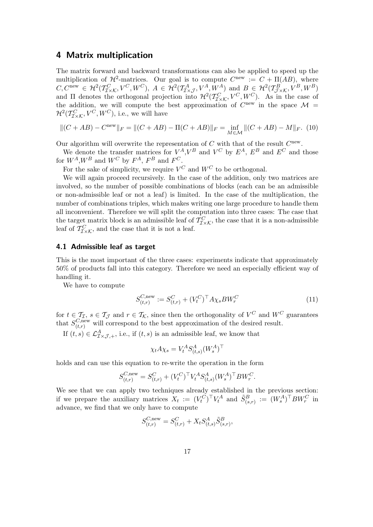# **4 Matrix multiplication**

The matrix forward and backward transformations can also be applied to speed up the multiplication of  $\mathcal{H}^2$ -matrices. Our goal is to compute  $C^{new} := C + \Pi(AB)$ , where  $C, C^{new} \in \mathcal{H}^2(\mathcal{T}_{\mathcal{I}\times\mathcal{K}}^C, V^C, W^C), A \in \mathcal{H}^2(\mathcal{T}_{\mathcal{I}\times\mathcal{J}}^A, V^A, W^A) \text{ and } B \in \mathcal{H}^2(\mathcal{T}_{\mathcal{I}\times\mathcal{K}}^B, V^B, W^B)$ and  $\Pi$  denotes the orthogonal projection into  $\mathcal{H}^2(\mathcal{T}_{\mathcal{I}\times\mathcal{K}}^C, V^C, W^C)$ . As in the case of the addition, we will compute the best approximation of  $C^{new}$  in the space  $\mathcal{M} =$  $\mathcal{H}^2(\mathcal{T}_{\mathcal{I}\times\mathcal{K}}^C,V^C,W^C),$  i.e., we will have

$$
\|(C+AB) - C^{\text{new}}\|_F = \|(C+AB) - \Pi(C+AB)\|_F = \inf_{M \in \mathcal{M}} \|(C+AB) - M\|_F. \tag{10}
$$

Our algorithm will overwrite the representation of C with that of the result  $C<sup>new</sup>$ .

We denote the transfer matrices for  $V^A$ ,  $V^B$  and  $V^C$  by  $E^A$ ,  $E^B$  and  $E^C$  and those for  $W^A$ ,  $W^B$  and  $W^C$  by  $F^A$ ,  $F^B$  and  $F^C$ .

For the sake of simplicity, we require  $V^C$  and  $W^C$  to be orthogonal.

We will again proceed recursively. In the case of the addition, only two matrices are involved, so the number of possible combinations of blocks (each can be an admissible or non-admissible leaf or not a leaf) is limited. In the case of the multiplication, the number of combinations triples, which makes writing one large procedure to handle them all inconvenient. Therefore we will split the computation into three cases: The case that the target matrix block is an admissible leaf of  $T_{\mathcal{I}\times\mathcal{K}}^C$ , the case that it is a non-admissible leaf of  $\mathcal{T}_{\mathcal{I}\times\mathcal{K}}^C$ , and the case that it is not a leaf.

#### **4.1 Admissible leaf as target**

This is the most important of the three cases: experiments indicate that approximately 50% of products fall into this category. Therefore we need an especially efficient way of handling it.

We have to compute

$$
S_{(t,r)}^{C,\text{new}} := S_{(t,r)}^C + (V_t^C)^\top A \chi_s B W_r^C \tag{11}
$$

for  $t \in \mathcal{T}_{\mathcal{I}}, s \in \mathcal{T}_{\mathcal{J}}$  and  $r \in \mathcal{T}_{\mathcal{K}},$  since then the orthogonality of  $V^C$  and  $W^C$  guarantees that  $S_{(t,r)}^{C,\text{new}}$  will correspond to the best approximation of the desired result.

If  $(t, s) \in \mathcal{L}^A_{\mathcal{IXJ},+}$ , i.e., if  $(t, s)$  is an admissible leaf, we know that

$$
\chi_t A \chi_s = V_t^A S_{(t,s)}^A (W_s^A)^\top
$$

holds and can use this equation to re-write the operation in the form

$$
S_{(t,r)}^{C,\text{new}} = S_{(t,r)}^C + (V_t^C)^\top V_t^A S_{(t,s)}^A (W_s^A)^\top B W_r^C.
$$

We see that we can apply two techniques already established in the previous section: if we prepare the auxiliary matrices  $X_t := (V_t^{\tilde{C}})^{\top} V_t^A$  and  $\tilde{S}_{(s,r)}^B := (W_s^A)^{\top} B W_r^C$  in advance, we find that we only have to compute

$$
S_{(t,r)}^{C,\text{new}} = S_{(t,r)}^C + X_t S_{(t,s)}^A \tilde{S}_{(s,r)}^B,
$$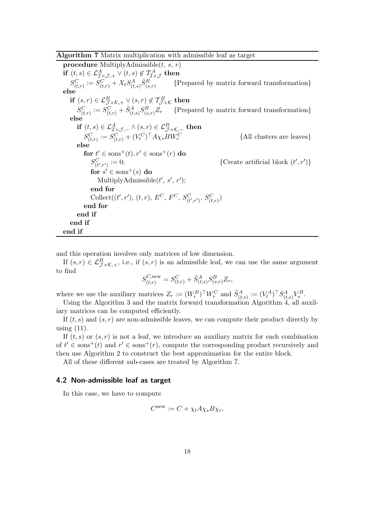# **Algorithm 7** Matrix multiplication with admissible leaf as target

**procedure** MultiplyAdmissible $(t, s, r)$ **if**  $(t, s) \in \mathcal{L}_{\mathcal{I} \times \mathcal{J},+}^A \vee (t, s) \notin \mathcal{T}_{\mathcal{I} \times \mathcal{J}}^A$  **then**  $S^C_{(t,r)} := S^C_{(t,r)} + X_t S^A_{(t,s)} \tilde{S}^B_{(s)}$  ${Prepared by matrix forward transformation}$ **else if**  $(s, r) \in \mathcal{L}_{\mathcal{J}\times\mathcal{K},+}^B \vee (s, r) \notin \mathcal{T}_{\mathcal{J}\times\mathcal{K}}^B$  then  $S_{(t,r)}^C := S_{(t,r)}^C + \tilde{S}_{(t,s)}^A S_{(s,r)}^B Z_r$  {Prepared by matrix forward transformation} **else if**  $(t, s) \in \mathcal{L}_{\mathcal{I} \times \mathcal{J}, -}^A \wedge (s, r) \in \mathcal{L}_{\mathcal{J} \times \mathcal{K}, -}^B$  **then**  $S^C_{(t,r)} := S^C_{(t,r)} + (V^C_t)^\top A \chi_s BW^C_r$ r {All clusters are leaves} **else**  $\mathbf{for} \; t' \in \mathrm{sons}^+(t), r' \in \mathrm{sons}^+(r) \; \mathbf{do}$  $S_{(t',r')}^{C} := 0;$  $C_{(t',r')} := 0;$  {Create artificial block  $(t',r')$ }  $\mathbf{for} \ s' \in \mathrm{sons}^+(s) \ \mathbf{do}$ MultiplyAdmissible $(t', s', r')$ ; **end for** Collect $((t', r'), (t, r), E^C, F^C, S^C_{(t', r')}, S^C_{(t, r)})$ **end for end if end if end if**

and this operation involves only matrices of low dimension.

If  $(s, r) \in \mathcal{L}_{\mathcal{J} \times \mathcal{K},+}^B$ , i.e., if  $(s, r)$  is an admissible leaf, we can use the same argument to find

$$
S_{(t,r)}^{C,\text{new}} = S_{(t,r)}^C + \tilde{S}_{(t,s)}^A S_{(s,r)}^B Z_r,
$$

where we use the auxiliary matrices  $Z_r := (W_r^B)^{\top} W_r^C$  and  $\tilde{S}_{(t,s)}^A := (V_t^A)^{\top} S_{(t,s)}^A V_s^B$ .

Using the Algorithm 3 and the matrix forward transformation Algorithm 4, all auxiliary matrices can be computed efficiently.

If  $(t, s)$  and  $(s, r)$  are non-admissible leaves, we can compute their product directly by using  $(11)$ .

If  $(t, s)$  or  $(s, r)$  is not a leaf, we introduce an auxiliary matrix for each combination of  $t' \in \text{sons}^+(t)$  and  $r' \in \text{sons}^+(r)$ , compute the corresponding product recursively and then use Algorithm 2 to construct the best approximation for the entire block.

All of these different sub-cases are treated by Algorithm 7.

### **4.2 Non-admissible leaf as target**

In this case, we have to compute

$$
C^{\text{new}} := C + \chi_t A \chi_s B \chi_r.
$$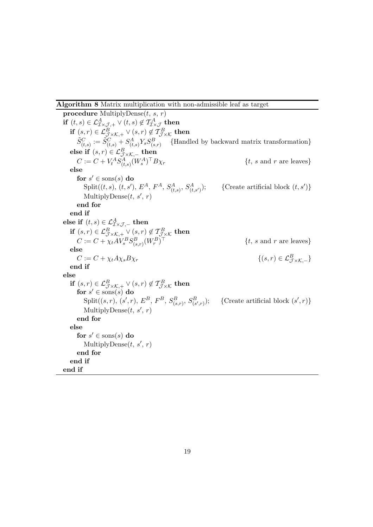# **Algorithm 8** Matrix multiplication with non-admissible leaf as target

**procedure** MultiplyDense $(t, s, r)$ **if**  $(t, s) \in \mathcal{L}_{\mathcal{I} \times \mathcal{J},+}^A \vee (t, s) \notin \mathcal{T}_{\mathcal{I} \times \mathcal{J}}^A$  **then if**  $(s, r) \in \mathcal{L}_{\mathcal{J} \times \mathcal{K},+}^B \vee (s, r) \notin \mathcal{T}_{\mathcal{J} \times \mathcal{K}}^B$  then  $\tilde{S}_{(t,s)}^C := \tilde{S}_{(t,s)}^C + S_{(t,s)}^A Y_s S_{(s,r)}^B$  {Handled by backward matrix transformation} **else if**  $(s, r) \in \mathcal{L}_{\mathcal{J} \times \mathcal{K}, -}^B$  **then**  $C := C + V_t^A S_{(t,s)}^A (W_s^A)^\top B \chi_r$  {t, s and r are leaves} **else**  $\mathbf{for} \; s' \in \mathrm{sons}(s) \; \mathbf{do}$  $Split((t, s), (t, s'), E<sup>A</sup>, F<sup>A</sup>, S<sup>A</sup><sub>(t, s')</sub>, S<sup>A</sup><sub>(t, s')</sub>$  $\{Create artificial block (t, s')\}$ MultiplyDense $(t, s', r)$ **end for end if else if**  $(t, s) \in \mathcal{L}^A_{\mathcal{I} \times \mathcal{J}, -}$  **then if**  $(s, r) \in \mathcal{L}_{\mathcal{J} \times \mathcal{K}, +}^B \vee (s, r) \notin \mathcal{T}_{\mathcal{J} \times \mathcal{K}}^B$  then  $C := C + \chi_t A V_s^B S_{(s,r)}^B (W_r^B)$  $\{t, s \text{ and } r \text{ are leaves}\}$ **else**  $C := C + \chi_t A \chi_s B \chi_r$  $\{(s,r)\in\mathcal{L}^B_{\tau\times K}$ <sub>−</sub>} **end if else if**  $(s, r) \in \mathcal{L}_{\mathcal{J}\times\mathcal{K},+}^B \vee (s, r) \notin \mathcal{T}_{\mathcal{J}\times\mathcal{K}}^B$  then  $\mathbf{for}~s' \in \mathrm{sons}(s)~\mathbf{do}$  $\text{Split}((s,r),\, (s',r),\, E^B,\, F^B,\, S^B_{(s,r)},\, S^B_{(s',r)}$ ); {Create artificial block  $(s', r)$ } MultiplyDense $(t, s', r)$ **end for else**  $\mathbf{for}~s' \in \mathrm{sons}(s)~\mathbf{do}$ MultiplyDense $(t, s', r)$ **end for end if end if**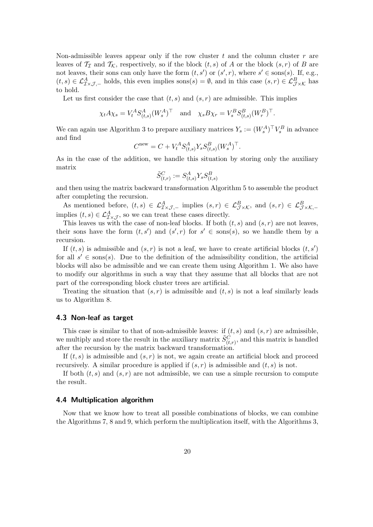Non-admissible leaves appear only if the row cluster t and the column cluster  $r$  are leaves of  $\mathcal{T}_{\mathcal{I}}$  and  $\mathcal{T}_{\mathcal{K}}$ , respectively, so if the block  $(t, s)$  of A or the block  $(s, r)$  of B are not leaves, their sons can only have the form  $(t, s')$  or  $(s', r)$ , where  $s' \in \text{sons}(s)$ . If, e.g.,  $(t, s) \in \mathcal{L}_{\mathcal{I}\times\mathcal{J},-}^A$  holds, this even implies sons $(s) = \emptyset$ , and in this case  $(s, r) \in \mathcal{L}_{\mathcal{J}\times\mathcal{K}}^B$  has to hold.

Let us first consider the case that  $(t, s)$  and  $(s, r)$  are admissible. This implies

$$
\chi_t A \chi_s = V_t^A S_{(t,s)}^A (W_s^A)^\top
$$
 and  $\chi_s B \chi_r = V_s^B S_{(t,s)}^B (W_r^B)^\top$ .

We can again use Algorithm 3 to prepare auxiliary matrices  $Y_s := (W_s^A)^{\top} V_s^B$  in advance and find

$$
C^{\mathrm{new}} = C + V_t^A S_{(t,s)}^A Y_s S_{(t,s)}^B (W_s^A)^\top.
$$

As in the case of the addition, we handle this situation by storing only the auxiliary matrix

$$
\tilde{S}^{C}_{(t,r)} := S^{A}_{(t,s)} Y_s S^{B}_{(t,s)}
$$

and then using the matrix backward transformation Algorithm 5 to assemble the product after completing the recursion.

As mentioned before,  $(t, s) \in \mathcal{L}_{\mathcal{I} \times \mathcal{J},-}^A$  implies  $(s, r) \in \mathcal{L}_{\mathcal{J} \times \mathcal{K}}^B$ , and  $(s, r) \in \mathcal{L}_{\mathcal{J} \times \mathcal{K},-}^B$ implies  $(t, s) \in \mathcal{L}^A_{\mathcal{I} \times \mathcal{J}},$  so we can treat these cases directly.

This leaves us with the case of non-leaf blocks. If both  $(t, s)$  and  $(s, r)$  are not leaves, their sons have the form  $(t, s')$  and  $(s', r)$  for  $s' \in \text{sons}(s)$ , so we handle them by a recursion.

If  $(t, s)$  is admissible and  $(s, r)$  is not a leaf, we have to create artificial blocks  $(t, s')$ for all  $s' \in \text{sons}(s)$ . Due to the definition of the admissibility condition, the artificial blocks will also be admissible and we can create them using Algorithm 1. We also have to modify our algorithms in such a way that they assume that all blocks that are not part of the corresponding block cluster trees are artificial.

Treating the situation that  $(s, r)$  is admissible and  $(t, s)$  is not a leaf similarly leads us to Algorithm 8.

# **4.3 Non-leaf as target**

This case is similar to that of non-admissible leaves: if  $(t, s)$  and  $(s, r)$  are admissible, we multiply and store the result in the auxiliary matrix  $\tilde{S}_{(t,r)}^C$ , and this matrix is handled after the recursion by the matrix backward transformation.

If  $(t, s)$  is admissible and  $(s, r)$  is not, we again create an artificial block and proceed recursively. A similar procedure is applied if  $(s, r)$  is admissible and  $(t, s)$  is not.

If both  $(t, s)$  and  $(s, r)$  are not admissible, we can use a simple recursion to compute the result.

#### **4.4 Multiplication algorithm**

Now that we know how to treat all possible combinations of blocks, we can combine the Algorithms 7, 8 and 9, which perform the multiplication itself, with the Algorithms 3,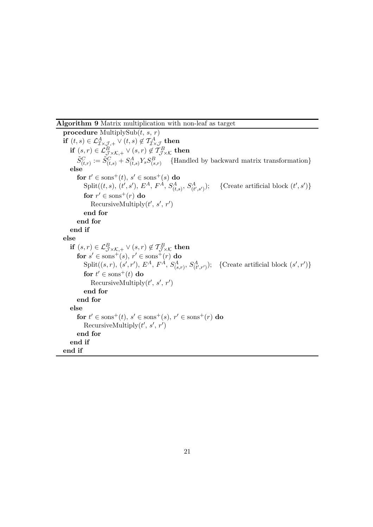# **Algorithm 9** Matrix multiplication with non-leaf as target

**procedure** MultiplySub $(t, s, r)$ **if**  $(t, s) \in \mathcal{L}_{\mathcal{I} \times \mathcal{J},+}^A \vee (t, s) \notin \mathcal{T}_{\mathcal{I} \times \mathcal{J}}^A$  then **if**  $(s, r) \in \mathcal{L}_{\mathcal{J} \times \mathcal{K},+}^B \vee (s, r) \notin \mathcal{T}_{\mathcal{J} \times \mathcal{K}}^B$  then  $\tilde{S}_{(t,r)}^C := \tilde{S}_{(t,s)}^C + S_{(t,s)}^A Y_s S_{(s,r)}^B$  {Handled by backward matrix transformation} **else**  $\mathbf{for} \; t' \in \mathrm{sons}^+(t), \, s' \in \mathrm{sons}^+(s) \; \mathbf{do}$  $\text{Split}((t,s),\, (t',s'),\, E^{A},\, F^{A},\, S^{A}_{(t,s)},\, S^{A}_{(t)})$  $(A<sub>(t',s')</sub>)$ ; {Create artificial block  $(t',s')$ }  ${\bf for} \; r' \in {\rm sons}^+(r) \; {\bf do}$ RecursiveMultiply $(t', s', r')$ **end for end for end if else if**  $(s, r) \in \mathcal{L}_{\mathcal{J}\times\mathcal{K},+}^B \vee (s, r) \notin \mathcal{T}_{\mathcal{J}\times\mathcal{K}}^B$  **then**  $\mathbf{for} \ s' \in \mathrm{sons}^+(s), \ r' \in \mathrm{sons}^+(r) \ \mathbf{do}$  $\text{Split}((s,r), (s',r'), E^A, F^{\overrightarrow{A}}, S^A_{(s,r)}, S^A_{(t',r')})$ ; {Create artificial block  $(s',r')$ }  $\mathbf{for} \ t' \in \mathrm{sons}^+(t) \ \mathbf{do}$ RecursiveMultiply $(t', s', r')$ **end for end for else**  ${\bf for} \ t' \in {\rm sons}^+(t), \ s' \in {\rm sons}^+(s), \ r' \in {\rm sons}^+(r) \ {\bf do}$ RecursiveMultiply $(t', s', r')$ **end for end if end if**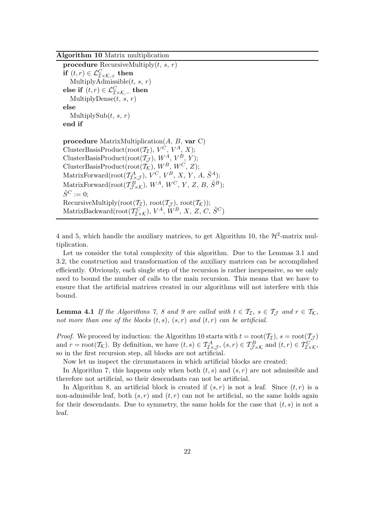**Algorithm 10** Matrix multiplication

**procedure** RecursiveMultiply $(t, s, r)$ **if**  $(t, r) \in \mathcal{L}_{\mathcal{I} \times \mathcal{K},+}^C$  **then** MultiplyAdmissible $(t, s, r)$ **else if**  $(t, r) \in \mathcal{L}_{\mathcal{I}\times\mathcal{K},-}^C$  **then** MultiplyDense $(t, s, r)$ **else** MultiplySub $(t, s, r)$ **end if procedure** MatrixMultiplication(A, B, **var** C) ClusterBasisProduct(root $(\mathcal{T}_{\mathcal{I}}), V^{\mathcal{C}}, V^A, X);$ ClusterBasisProduct( $\text{root}(\mathcal{T}_{\mathcal{J}}), W^A, V^B, Y$ ); ClusterBasisProduct( $\text{root}(\mathcal{T}_\mathcal{K}), W^B, W^C, Z$ ); MatrixForward(root( $\mathcal{T}_{\mathcal{I}\times\mathcal{J}}^{A}$ ),  $V^{C}$ ,  $V^{B}$ , X, Y, A,  $\tilde{S}^{A}$ ); MatrixForward(root( $\mathcal{T}_{\mathcal{J}\times\mathcal{K}}^B$ ),  $W^A$ ,  $W^C$ ,  $Y$ ,  $Z$ ,  $B$ ,  $\tilde{S}^B$ );  $\tilde{S}^C := 0$ : RecursiveMultiply(root( $\mathcal{T}_{\mathcal{I}}$ ), root( $\mathcal{T}_{\mathcal{I}}$ )); MatrixBackward(root( $\hat{T}_{\mathcal{I}\times\mathcal{K}}^C$ ),  $V^A$ ,  $\hat{W}^B$ , X, Z, C,  $\tilde{S}^C$ )

4 and 5, which handle the auxiliary matrices, to get Algorithm 10, the  $\mathcal{H}^2$ -matrix multiplication.

Let us consider the total complexity of this algorithm. Due to the Lemmas 3.1 and 3.2, the construction and transformation of the auxiliary matrices can be accomplished efficiently. Obviously, each single step of the recursion is rather inexpensive, so we only need to bound the number of calls to the main recursion. This means that we have to ensure that the artificial matrices created in our algorithms will not interfere with this bound.

**Lemma 4.1** *If the Algorithms 7, 8 and 9 are called with*  $t \in \mathcal{T}_{\mathcal{I}}$ ,  $s \in \mathcal{T}_{\mathcal{I}}$  *and*  $r \in \mathcal{T}_{\mathcal{K}}$ , not more than one of the blocks  $(t, s)$ ,  $(s, r)$  and  $(t, r)$  can be artificial.

*Proof.* We proceed by induction: the Algorithm 10 starts with  $t = \text{root}(\mathcal{T}_{\mathcal{I}}), s = \text{root}(\mathcal{T}_{\mathcal{J}})$ and  $r = \text{root}(\mathcal{T}_{\mathcal{K}})$ . By definition, we have  $(t, s) \in \mathcal{T}_{\mathcal{I} \times \mathcal{J}}^A$ ,  $(s, r) \in \mathcal{T}_{\mathcal{J} \times \mathcal{K}}^B$  and  $(t, r) \in \mathcal{T}_{\mathcal{I} \times \mathcal{K}}^C$ , so in the first recursion step, all blocks are not artificial.

Now let us inspect the circumstances in which artificial blocks are created:

In Algorithm 7, this happens only when both  $(t, s)$  and  $(s, r)$  are not admissible and therefore not artificial, so their descendants can not be artificial.

In Algorithm 8, an artificial block is created if  $(s, r)$  is not a leaf. Since  $(t, r)$  is a non-admissible leaf, both  $(s, r)$  and  $(t, r)$  can not be artificial, so the same holds again for their descendants. Due to symmetry, the same holds for the case that  $(t, s)$  is not a leaf.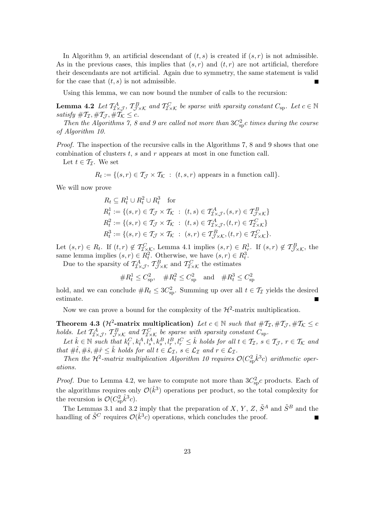In Algorithm 9, an artificial descendant of  $(t, s)$  is created if  $(s, r)$  is not admissible. As in the previous cases, this implies that  $(s, r)$  and  $(t, r)$  are not artificial, therefore their descendants are not artificial. Again due to symmetry, the same statement is valid for the case that  $(t, s)$  is not admissible.

Using this lemma, we can now bound the number of calls to the recursion:

**Lemma 4.2** *Let*  $T_{\mathcal{I}\times\mathcal{J}}^A$ ,  $T_{\mathcal{I}\times\mathcal{K}}^B$  and  $T_{\mathcal{I}\times\mathcal{K}}^C$  be sparse with sparsity constant  $C_{\text{sp}}$ . Let  $c \in \mathbb{N}$ *satisfy*  $\#T_{\mathcal{I}}, \#T_{\mathcal{I}}, \#T_{\mathcal{K}} \leq c$ .

Then the Algorithms 7, 8 and 9 are called not more than  $3C_{\rm sp}^2$ c *times during the course of Algorithm 10.*

*Proof.* The inspection of the recursive calls in the Algorithms 7, 8 and 9 shows that one combination of clusters t, s and r appears at most in one function call.

Let  $t \in \mathcal{T}_{\mathcal{I}}$ . We set

 $R_t := \{(s, r) \in \mathcal{T}_{\mathcal{T}} \times \mathcal{T}_{\mathcal{K}} : (t, s, r) \text{ appears in a function call}\}.$ 

We will now prove

$$
R_t \subseteq R_t^1 \cup R_t^2 \cup R_t^3 \quad \text{for}
$$
  
\n
$$
R_t^1 := \{(s, r) \in \mathcal{T}_{\mathcal{J}} \times \mathcal{T}_{\mathcal{K}} : (t, s) \in \mathcal{T}_{\mathcal{I} \times \mathcal{J}}^A, (s, r) \in \mathcal{T}_{\mathcal{J} \times \mathcal{K}}^B\}
$$
  
\n
$$
R_t^2 := \{(s, r) \in \mathcal{T}_{\mathcal{J}} \times \mathcal{T}_{\mathcal{K}} : (t, s) \in \mathcal{T}_{\mathcal{I} \times \mathcal{J}}^A, (t, r) \in \mathcal{T}_{\mathcal{I} \times \mathcal{K}}^C\}
$$
  
\n
$$
R_t^3 := \{(s, r) \in \mathcal{T}_{\mathcal{J}} \times \mathcal{T}_{\mathcal{K}} : (s, r) \in \mathcal{T}_{\mathcal{J} \times \mathcal{K}}^B, (t, r) \in \mathcal{T}_{\mathcal{I} \times \mathcal{K}}^C\}.
$$

Let  $(s, r) \in R_t$ . If  $(t, r) \notin \mathcal{T}^C_{\mathcal{I} \times \mathcal{K}}$ , Lemma 4.1 implies  $(s, r) \in R_r^1$ . If  $(s, r) \notin \mathcal{T}^B_{\mathcal{I} \times \mathcal{K}}$ , the same lemma implies  $(s, r) \in R_t^2$ . Otherwise, we have  $(s, r) \in R_t^3$ .

Due to the sparsity of  $T_{\mathcal{I}\times\mathcal{J}}^A$ ,  $T_{\mathcal{I}\times\mathcal{K}}^B$  and  $T_{\mathcal{I}\times\mathcal{K}}^C$  the estimates

$$
\#R_t^1 \le C_{\text{sp}}^2, \quad \#R_t^2 \le C_{\text{sp}}^2 \quad \text{and} \quad \#R_t^3 \le C_{\text{sp}}^2
$$

hold, and we can conclude  $#R_t \leq 3C_{sp}^2$ . Summing up over all  $t \in \mathcal{T}_{\mathcal{I}}$  yields the desired estimate.

Now we can prove a bound for the complexity of the  $\mathcal{H}^2$ -matrix multiplication.

**Theorem 4.3 (** $\mathcal{H}^2$ **-matrix multiplication)** *Let*  $c \in \mathbb{N}$  *such that*  $\#\mathcal{T}_{\mathcal{I}}, \#\mathcal{T}_{\mathcal{J}}, \#\mathcal{T}_{\mathcal{K}} \leq c$ *holds.* Let  $T_{\mathcal{I}\times\mathcal{J}}^A$ ,  $T_{\mathcal{I}\times\mathcal{K}}^B$  and  $T_{\mathcal{I}\times\mathcal{K}}^C$  be sparse with sparsity constant  $C_{\text{sp}}$ .

 $Let \hat{k} \in \mathbb{N} \text{ such that } k_t^C, k_t^A, l_s^A, k_s^B, l_r^B, l_r^C \leq \hat{k} \text{ holds for all } t \in \mathcal{T}_{\mathcal{I}}, s \in \mathcal{T}_{\mathcal{J}}, r \in \mathcal{T}_{\mathcal{K}} \text{ and }$ *that*  $\#\hat{t}, \#\hat{s}, \#\hat{r} \leq \hat{k}$  *holds for all*  $t \in \mathcal{L}_{\mathcal{I}}, s \in \mathcal{L}_{\mathcal{I}}$  *and*  $r \in \mathcal{L}_{\mathcal{I}}$ *.* 

*Then the*  $\mathcal{H}^2$ -matrix multiplication Algorithm 10 requires  $\mathcal{O}(C_{\text{sp}}^2 \hat{k}^3 c)$  arithmetic oper*ations.*

*Proof.* Due to Lemma 4.2, we have to compute not more than  $3C_{sp}^2c$  products. Each of the algorithms requires only  $\mathcal{O}(\hat{k}^3)$  operations per product, so the total complexity for the recursion is  $\mathcal{O}(C_{\text{sp}}^2 \hat{k}^3 c)$ .

The Lemmas 3.1 and 3.2 imply that the preparation of X, Y, Z,  $\tilde{S}^A$  and  $\tilde{S}^B$  and the handling of  $\tilde{S}^C$  requires  $\mathcal{O}(\hat{k}^3 c)$  operations, which concludes the proof.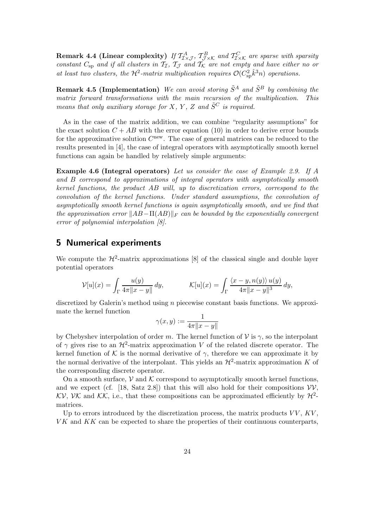**Remark 4.4 (Linear complexity)** If  $T_{\mathcal{I}\times\mathcal{J}}^A$ ,  $T_{\mathcal{I}\times\mathcal{K}}^B$  and  $T_{\mathcal{I}\times\mathcal{K}}^C$  are sparse with sparsity *constant*  $C_{\text{sp}}$  *and if all clusters in*  $\mathcal{T}_{\mathcal{I}}$ ,  $\mathcal{T}_{\mathcal{J}}$  *and*  $\mathcal{T}_{\mathcal{K}}$  *are not empty and have either no or* at least two clusters, the  $\mathcal{H}^2$ -matrix multiplication requires  $\mathcal{O}(C_{\text{sp}}^2 \hat{k}^3 n)$  operations.

**Remark 4.5 (Implementation)** *We can avoid storing*  $\tilde{S}^A$  *and*  $\tilde{S}^B$  *by combining the matrix forward transformations with the main recursion of the multiplication. This means that only auxiliary storage for*  $X, Y, Z$  *and*  $\tilde{S}^C$  *is required.* 

As in the case of the matrix addition, we can combine "regularity assumptions" for the exact solution  $C + AB$  with the error equation (10) in order to derive error bounds for the approximative solution  $C^{new}$ . The case of general matrices can be reduced to the results presented in [4], the case of integral operators with asymptotically smooth kernel functions can again be handled by relatively simple arguments:

**Example 4.6 (Integral operators)** *Let us consider the case of Example 2.9. If* A *and* B *correspond to approximations of integral operators with asymptotically smooth kernel functions, the product* AB *will, up to discretization errors, correspond to the convolution of the kernel functions. Under standard assumptions, the convolution of asymptotically smooth kernel functions is again asymptotically smooth, and we find that the approximation error*  $||AB-\Pi(AB)||_F$  *can be bounded by the exponentially convergent error of polynomial interpolation [8].*

# **5 Numerical experiments**

We compute the  $\mathcal{H}^2$ -matrix approximations [8] of the classical single and double layer potential operators

$$
\mathcal{V}[u](x) = \int_{\Gamma} \frac{u(y)}{4\pi ||x - y||} dy, \qquad \mathcal{K}[u](x) = \int_{\Gamma} \frac{\langle x - y, n(y) \rangle u(y)}{4\pi ||x - y||^3} dy,
$$

discretized by Galerin's method using  $n$  piecewise constant basis functions. We approximate the kernel function

$$
\gamma(x,y) := \frac{1}{4\pi \|x-y\|}
$$

by Chebyshev interpolation of order m. The kernel function of  $\mathcal V$  is  $\gamma$ , so the interpolant of  $\gamma$  gives rise to an  $\mathcal{H}^2$ -matrix approximation V of the related discrete operator. The kernel function of K is the normal derivative of  $\gamma$ , therefore we can approximate it by the normal derivative of the interpolant. This yields an  $\mathcal{H}^2$ -matrix approximation K of the corresponding discrete operator.

On a smooth surface,  $V$  and  $K$  correspond to asymptotically smooth kernel functions, and we expect (cf. [18, Satz 2.8]) that this will also hold for their compositions  $VV$ . KV, VK and KK, i.e., that these compositions can be approximated efficiently by  $\mathcal{H}^2$ matrices.

Up to errors introduced by the discretization process, the matrix products  $VV, KV,$  $VK$  and  $KK$  can be expected to share the properties of their continuous counterparts,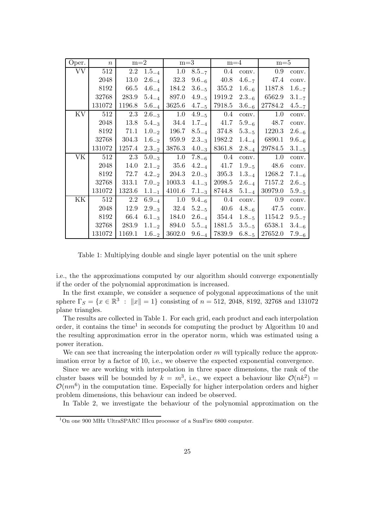| Oper.                  | $\boldsymbol{n}$ | $m=2$    |            | $m=3$  |            | $m=4$               |            | $m=5$   |            |
|------------------------|------------------|----------|------------|--------|------------|---------------------|------------|---------|------------|
| $\overline{\text{VV}}$ | 512              | $2.2\,$  | $1.5_{-4}$ | 1.0    | $8.5 - 7$  | 0.4                 | conv.      | 0.9     | conv.      |
|                        | 2048             | $13.0\,$ | $2.6_{-4}$ | 32.3   | $9.6_{-6}$ | 40.8                | $4.6_{-7}$ | 47.4    | conv.      |
|                        | 8192             | 66.5     | $4.6_{-4}$ | 184.2  | $3.6_{-5}$ | 355.2               | $1.6_{-6}$ | 1187.8  | $1.6 - 7$  |
|                        | 32768            | 283.9    | $5.4_{-4}$ | 897.0  | $4.9_{-5}$ | 1919.2              | $2.3_{-6}$ | 6562.9  | $3.1 - 7$  |
|                        | 131072           | 1196.8   | $5.6_{-4}$ | 3625.6 | $4.7_{-5}$ | 7918.5              | $3.6_{-6}$ | 27784.2 | $4.5 - 7$  |
| KV                     | 512              | $2.3\,$  | $2.6_{-3}$ | 1.0    | $4.9_{-5}$ | 0.4                 | conv.      | 1.0     | conv.      |
|                        | 2048             | 13.8     | $5.4_{-3}$ | 34.4   | $1.7_{-4}$ | 41.7                | $5.9_{-6}$ | 48.7    | conv.      |
|                        | 8192             | 71.1     | $1.0_{-2}$ | 196.7  | $8.5_{-4}$ | 374.8               | $5.3_{-5}$ | 1220.3  | $2.6_{-6}$ |
|                        | 32768            | 304.3    | $1.6_{-2}$ | 959.9  |            | $2.3_{-3}$   1982.2 | $1.4_{-4}$ | 6890.1  | $9.6_{-6}$ |
|                        | 131072           | 1257.4   | $2.3_{-2}$ | 3876.3 | $4.0_{-3}$ | 8361.8              | $2.8_{-4}$ | 29784.5 | $3.1 - 5$  |
| VK                     | 512              | $2.3\,$  | $5.0_{-3}$ | 1.0    | $7.8_{-6}$ | 0.4                 | conv.      | 1.0     | conv.      |
|                        | 2048             | 14.0     | $2.1_{-2}$ | 35.6   | $4.2_{-4}$ | 41.7                | $1.9_{-5}$ | 48.6    | conv.      |
|                        | 8192             | 72.7     | $4.2_{-2}$ | 204.3  | $2.0_{-3}$ | 395.3               | $1.3_{-4}$ | 1268.2  | $7.1_{-6}$ |
|                        | 32768            | 313.1    | $7.0_{-2}$ | 1003.3 | $4.1_{-3}$ | 2098.5              | $2.6_{-4}$ | 7157.2  | $2.6_{-5}$ |
|                        | 131072           | 1323.6   | $1.1_{-1}$ | 4101.6 | $7.1_{-3}$ | 8744.8              | $5.1_{-4}$ | 30979.0 | $5.9_{-5}$ |
| ΚK                     | 512              | 2.2      | $6.9_{-4}$ | 1.0    | $9.4_{-6}$ | 0.4                 | conv.      | 0.9     | conv.      |
|                        | 2048             | 12.9     | $2.9_{-3}$ | 32.4   | $5.2_{-5}$ | 40.6                | $4.8_{-6}$ | 47.5    | conv.      |
|                        | 8192             | 66.4     | $6.1_{-3}$ | 184.0  | $2.6_{-4}$ | 354.4               | $1.8_{-5}$ | 1154.2  | $9.5 - 7$  |
|                        | 32768            | 283.9    | $1.1_{-2}$ | 894.0  | $5.5_{-4}$ | 1881.5              | $3.5_{-5}$ | 6538.1  | $3.4_{-6}$ |
|                        | 131072           | 1169.1   | $1.6_{-2}$ | 3602.0 | $9.6_{-4}$ | 7839.9              | $6.8_{-5}$ | 27652.0 | $7.9_{-6}$ |

Table 1: Multiplying double and single layer potential on the unit sphere

i.e., the the approximations computed by our algorithm should converge exponentially if the order of the polynomial approximation is increased.

In the first example, we consider a sequence of polygonal approximations of the unit sphere  $\Gamma_S = \{x \in \mathbb{R}^3 : ||x|| = 1\}$  consisting of  $n = 512, 2048, 8192, 32768$  and 131072 plane triangles.

The results are collected in Table 1. For each grid, each product and each interpolation order, it contains the time<sup>1</sup> in seconds for computing the product by Algorithm 10 and the resulting approximation error in the operator norm, which was estimated using a power iteration.

We can see that increasing the interpolation order  $m$  will typically reduce the approximation error by a factor of 10, i.e., we observe the expected exponential convergence.

Since we are working with interpolation in three space dimensions, the rank of the cluster bases will be bounded by  $k = m^3$ , i.e., we expect a behaviour like  $\mathcal{O}(nk^2)$  $\mathcal{O}(nm^6)$  in the computation time. Especially for higher interpolation orders and higher problem dimensions, this behaviour can indeed be observed.

In Table 2, we investigate the behaviour of the polynomial approximation on the

<sup>1</sup>On one 900 MHz UltraSPARC IIIcu processor of a SunFire 6800 computer.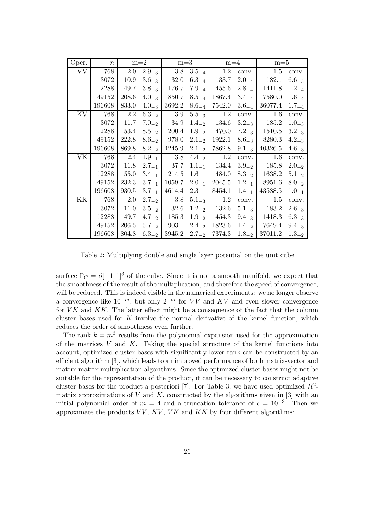| Oper.     | $\boldsymbol{n}$ |       | $m=2$      | $m=3$            |            | $m=4$               |            | $m=5$               |            |
|-----------|------------------|-------|------------|------------------|------------|---------------------|------------|---------------------|------------|
| <b>VV</b> | 768              | 2.0   | $2.9_{-3}$ | 3.8              | $3.5_{-4}$ | 1.2                 | conv.      | $1.5\,$             | conv.      |
|           | 3072             | 10.9  | $3.6_{-3}$ | 32.0             | $6.3_{-4}$ | 133.7               | $2.0_{-4}$ | 182.1               | $6.6_{-5}$ |
|           | 12288            | 49.7  | $3.8_{-3}$ | 176.7            | $7.9_{-4}$ | 455.6               | $2.8_{-4}$ | 1411.8              | $1.2_{-4}$ |
|           | 49152            | 208.6 | $4.0_{-3}$ | 850.7            | $8.5_{-4}$ | 1867.4              | $3.4_{-4}$ | 7580.0              | $1.6_{-4}$ |
|           | 196608           | 833.0 | $4.0_{-3}$ | 3692.2           | $8.6_{-4}$ | 7542.0              | $3.6_{-4}$ | 36077.4             | $1.7_{-4}$ |
| KV        | 768              | 2.2   | $6.3_{-2}$ | 3.9              | $5.5_{-3}$ | 1.2                 | conv.      | 1.6                 | conv.      |
|           | 3072             | 11.7  | $7.0_{-2}$ | 34.9             | $1.4_{-2}$ | 134.6               | $3.2_{-3}$ | 185.2               | $1.0_{-3}$ |
|           | 12288            | 53.4  |            | $8.5_{-2}$ 200.4 |            | $1.9_{-2}$ 470.0    |            | $7.2_{-3}$   1510.5 | $3.2_{-3}$ |
|           | 49152            | 222.8 | $8.6_{-2}$ | 978.0            |            | $2.1_{-2}$   1922.1 |            | $8.6_{-3}$   8280.3 | $4.2_{-3}$ |
|           | 196608           | 869.8 | $8.2_{-2}$ | 4245.9           |            | $2.1_{-2}$   7862.8 | $9.1_{-3}$ | 40326.5             | $4.6_{-3}$ |
| VK        | 768              | 2.4   | $1.9_{-1}$ | 3.8              | $4.4_{-2}$ | 1.2                 | conv.      | 1.6                 | conv.      |
|           | 3072             | 11.8  |            | $2.7_{-1}$ 37.7  | $1.1_{-1}$ | 134.4               | $3.9_{-2}$ | 185.8               | $2.0_{-2}$ |
|           | 12288            | 55.0  |            | $3.4_{-1}$ 214.5 | $1.6_{-1}$ | 484.0               | $8.3_{-2}$ | 1638.2              | $5.1_{-2}$ |
|           | 49152            | 232.3 | $3.7_{-1}$ | 1059.7           | $2.0_{-1}$ | 2045.5              |            | $1.2_{-1}$ 8951.6   | $8.0_{-2}$ |
|           | 196608           | 930.5 | $3.7_{-1}$ | 4614.4           | $2.3_{-1}$ | 8454.1              | $1.4_{-1}$ | 43588.5             | $1.0_{-1}$ |
| KK        | 768              | 2.0   |            | $2.7_{-2}$ 3.8   | $5.1_{-3}$ | 1.2                 | conv.      | 1.5                 | conv.      |
|           | 3072             | 11.0  | $3.5_{-2}$ | 32.6             | $1.2_{-2}$ | 132.6               |            | $5.1_{-3}$ 183.2    | $2.6_{-3}$ |
|           | 12288            | 49.7  | $4.7_{-2}$ | 185.3            | $1.9_{-2}$ | 454.3               | $9.4_{-3}$ | 1418.3              | $6.3_{-3}$ |
|           | 49152            | 206.5 | $5.7_{-2}$ | 903.1            | $2.4_{-2}$ | 1823.6              |            | $1.4_{-2}$ 7649.4   | $9.4_{-3}$ |
|           | 196608           | 804.8 | $6.3_{-2}$ | 3945.2           |            | $2.7_{-2}$   7374.3 | $1.8_{-2}$ | 37011.2             | $1.3_{-2}$ |

Table 2: Multiplying double and single layer potential on the unit cube

surface  $\Gamma_C = \partial [-1,1]^3$  of the cube. Since it is not a smooth manifold, we expect that the smoothness of the result of the multiplication, and therefore the speed of convergence, will be reduced. This is indeed visible in the numerical experiments: we no longer observe a convergence like  $10^{-m}$ , but only  $2^{-m}$  for VV and KV and even slower convergence for  $VK$  and  $KK$ . The latter effect might be a consequence of the fact that the column cluster bases used for  $K$  involve the normal derivative of the kernel function, which reduces the order of smoothness even further.

The rank  $k = m<sup>3</sup>$  results from the polynomial expansion used for the approximation of the matrices  $V$  and  $K$ . Taking the special structure of the kernel functions into account, optimized cluster bases with significantly lower rank can be constructed by an efficient algorithm [3], which leads to an improved performance of both matrix-vector and matrix-matrix multiplication algorithms. Since the optimized cluster bases might not be suitable for the representation of the product, it can be necessary to construct adaptive cluster bases for the product a posteriori [7]. For Table 3, we have used optimized  $\mathcal{H}^2$ matrix approximations of V and K, constructed by the algorithms given in [3] with an initial polynomial order of  $m = 4$  and a truncation tolerance of  $\epsilon = 10^{-3}$ . Then we approximate the products  $VV$ ,  $KV$ ,  $VK$  and  $KK$  by four different algorithms: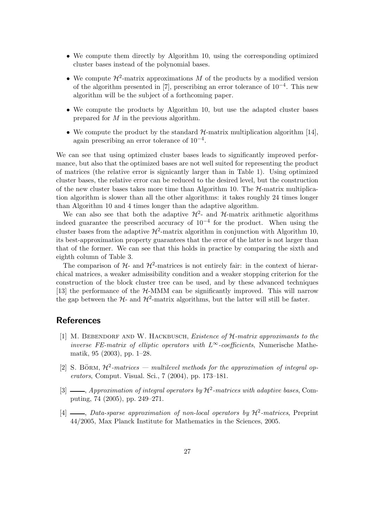- We compute them directly by Algorithm 10, using the corresponding optimized cluster bases instead of the polynomial bases.
- We compute  $\mathcal{H}^2$ -matrix approximations M of the products by a modified version of the algorithm presented in [7], prescribing an error tolerance of  $10^{-4}$ . This new algorithm will be the subject of a forthcoming paper.
- We compute the products by Algorithm 10, but use the adapted cluster bases prepared for M in the previous algorithm.
- We compute the product by the standard  $\mathcal{H}$ -matrix multiplication algorithm [14], again prescribing an error tolerance of  $10^{-4}$ .

We can see that using optimized cluster bases leads to significantly improved performance, but also that the optimized bases are not well suited for representing the product of matrices (the relative error is signicantly larger than in Table 1). Using optimized cluster bases, the relative error can be reduced to the desired level, but the construction of the new cluster bases takes more time than Algorithm 10. The  $H$ -matrix multiplication algorithm is slower than all the other algorithms: it takes roughly 24 times longer than Algorithm 10 and 4 times longer than the adaptive algorithm.

We can also see that both the adaptive  $\mathcal{H}^2$ - and  $\mathcal{H}$ -matrix arithmetic algorithms indeed guarantee the prescribed accuracy of  $10^{-4}$  for the product. When using the cluster bases from the adaptive  $\mathcal{H}^2$ -matrix algorithm in conjunction with Algorithm 10, its best-approximation property guarantees that the error of the latter is not larger than that of the former. We can see that this holds in practice by comparing the sixth and eighth column of Table 3.

The comparison of  $H$ - and  $H^2$ -matrices is not entirely fair: in the context of hierarchical matrices, a weaker admissibility condition and a weaker stopping criterion for the construction of the block cluster tree can be used, and by these advanced techniques [13] the performance of the H-MMM can be significantly improved. This will narrow the gap between the  $H$ - and  $H^2$ -matrix algorithms, but the latter will still be faster.

# **References**

- [1] M. Bebendorf and W. Hackbusch, *Existence of* H*-matrix approximants to the inverse FE-matrix of elliptic operators with* L∞*-coefficients*, Numerische Mathematik, 95 (2003), pp. 1–28.
- [2] S. BÖRM,  $\mathcal{H}^2$ -matrices multilevel methods for the approximation of integral op*erators*, Comput. Visual. Sci., 7 (2004), pp. 173–181.
- [3]  $\_\_\_\_\$ *Approximation of integral operators by*  $\mathcal{H}^2$ -matrices with adaptive bases, Computing, 74 (2005), pp. 249–271.
- [4]  $\frac{1}{2}$  *Data-sparse approximation of non-local operators by*  $\mathcal{H}^2$ -matrices, Preprint 44/2005, Max Planck Institute for Mathematics in the Sciences, 2005.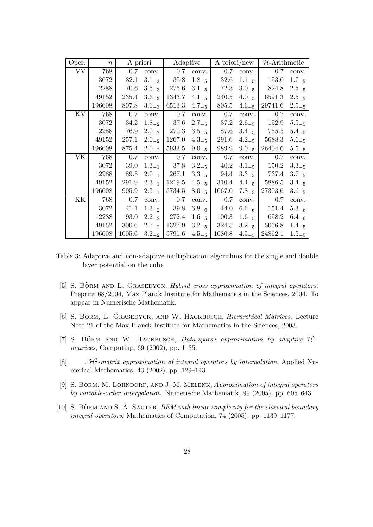| Oper.     | $\boldsymbol{n}$ | A priori |            | Adaptive |            | A priori/new |            | $H$ -Arithmetic |            |
|-----------|------------------|----------|------------|----------|------------|--------------|------------|-----------------|------------|
| <b>VV</b> | 768              | 0.7      | conv.      | $0.7\,$  | conv.      | 0.7          | conv.      | $0.7\,$         | conv.      |
|           | 3072             | 32.1     | $3.1_{-3}$ | $35.8\,$ | $1.8 - 5$  | 32.6         | $1.1 - 5$  | 153.0           | $1.7_{-5}$ |
|           | 12288            | 70.6     | $3.5_{-3}$ | 276.6    | $3.1_{-5}$ | 72.3         | $3.0_{-5}$ | 824.8           | $2.5_{-5}$ |
|           | 49152            | 235.4    | $3.6_{-3}$ | 1343.7   | $4.1_{-5}$ | 240.5        | $4.0_{-5}$ | 6591.3          | $2.5_{-5}$ |
|           | 196608           | 807.8    | $3.6_{-3}$ | 6513.3   | $4.7_{-5}$ | 805.5        | $4.6_{-5}$ | 29741.6         | $2.5_{-5}$ |
| KV        | 768              | 0.7      | conv.      | 0.7      | conv.      | 0.7          | conv.      | 0.7             | conv.      |
|           | 3072             | $34.2\,$ | $1.8_{-2}$ | $37.6\,$ | $2.7_{-5}$ | 37.2         | $2.6_{-5}$ | 152.9           | $5.5_{-5}$ |
|           | 12288            | 76.9     | $2.0_{-2}$ | 270.3    | $3.5_{-5}$ | 87.6         | $3.4_{-5}$ | 755.5           | $5.4_{-5}$ |
|           | 49152            | 257.1    | $2.0_{-2}$ | 1267.0   | $4.3_{-5}$ | 291.6        | $4.2_{-5}$ | 5688.3          | $5.6_{-5}$ |
|           | 196608           | 875.4    | $2.0_{-2}$ | 5933.5   | $9.0_{-5}$ | 989.9        | $9.0_{-5}$ | 26404.6         | $5.5_{-5}$ |
| VK        | 768              | 0.7      | conv.      | 0.7      | conv.      | 0.7          | conv.      | 0.7             | conv.      |
|           | 3072             | 39.0     | $1.3_{-1}$ | 37.8     | $3.2 - 5$  | 40.2         | $3.1_{-5}$ | 150.2           | $3.3_{-5}$ |
|           | 12288            | 89.5     | $2.0_{-1}$ | 267.1    | $3.3_{-5}$ | 94.4         | $3.3_{-5}$ | 737.4           | $3.7_{-5}$ |
|           | 49152            | 291.9    | $2.3_{-1}$ | 1219.5   | $4.5_{-5}$ | 310.4        | $4.4_{-5}$ | 5886.5          | $3.4_{-5}$ |
|           | 196608           | 995.9    | $2.5_{-1}$ | 5734.5   | $8.0_{-5}$ | 1067.0       | $7.8_{-5}$ | 27303.6         | $3.6_{-5}$ |
| KΚ        | 768              | 0.7      | conv.      | 0.7      | conv.      | 0.7          | conv.      | 0.7             | conv.      |
|           | 3072             | 41.1     | $1.3_{-2}$ | 39.8     | $6.8_{-6}$ | 44.0         | $6.6_{-6}$ | 151.4           | $5.3_{-6}$ |
|           | 12288            | $93.0\,$ | $2.2_{-2}$ | 272.4    | $1.6_{-5}$ | 100.3        | $1.6 - 5$  | 658.2           | $6.4_{-6}$ |
|           | 49152            | 300.6    | $2.7_{-2}$ | 1327.9   | $3.2_{-5}$ | 324.5        | $3.2_{-5}$ | 5066.8          | $1.4_{-5}$ |
|           | 196608           | 1005.6   | $3.2_{-2}$ | 5791.6   | $4.5_{-5}$ | 1080.8       | $4.5_{-5}$ | 24862.1         | $1.5_{-5}$ |

Table 3: Adaptive and non-adaptive multiplication algorithms for the single and double layer potential on the cube

- [5] S. BÖRM AND L. GRASEDYCK, *Hybrid cross approximation of integral operators*, Preprint 68/2004, Max Planck Institute for Mathematics in the Sciences, 2004. To appear in Numerische Mathematik.
- [6] S. BÖRM, L. GRASEDYCK, AND W. HACKBUSCH, *Hierarchical Matrices*. Lecture Note 21 of the Max Planck Institute for Mathematics in the Sciences, 2003.
- [7] S. BÖRM AND W. HACKBUSCH, *Data-sparse approximation by adaptive*  $\mathcal{H}^2$ *matrices*, Computing, 69 (2002), pp. 1–35.
- [8]  $\frac{1}{8}$ ,  $\mathcal{H}^2$ -matrix approximation of integral operators by interpolation, Applied Numerical Mathematics, 43 (2002), pp. 129–143.
- [9] S. BÖRM, M. LÖHNDORF, AND J. M. MELENK, *Approximation of integral operators by variable-order interpolation*, Numerische Mathematik, 99 (2005), pp. 605–643.
- [10] S. BÖRM AND S. A. SAUTER, *BEM with linear complexity for the classical boundary integral operators*, Mathematics of Computation, 74 (2005), pp. 1139–1177.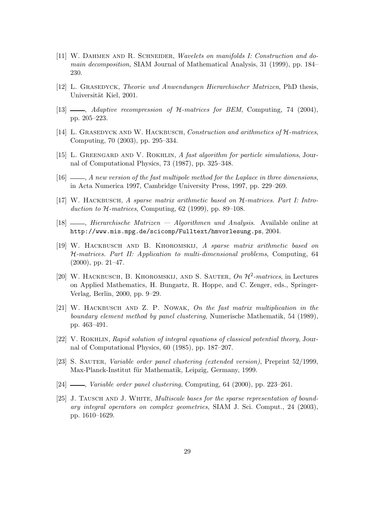- [11] W. Dahmen and R. Schneider, *Wavelets on manifolds I: Construction and domain decomposition*, SIAM Journal of Mathematical Analysis, 31 (1999), pp. 184– 230.
- [12] L. Grasedyck, *Theorie und Anwendungen Hierarchischer Matrizen*, PhD thesis, Universität Kiel, 2001.
- [13] , *Adaptive recompression of* H*-matrices for BEM*, Computing, 74 (2004), pp. 205–223.
- [14] L. Grasedyck and W. Hackbusch, *Construction and arithmetics of* H*-matrices*, Computing, 70 (2003), pp. 295–334.
- [15] L. Greengard and V. Rokhlin, *A fast algorithm for particle simulations*, Journal of Computational Physics, 73 (1987), pp. 325–348.
- [16] , *A new version of the fast multipole method for the Laplace in three dimensions*, in Acta Numerica 1997, Cambridge University Press, 1997, pp. 229–269.
- [17] W. Hackbusch, *A sparse matrix arithmetic based on* H*-matrices. Part I: Introduction to* H*-matrices*, Computing, 62 (1999), pp. 89–108.
- [18] , *Hierarchische Matrizen Algorithmen und Analysis*. Available online at http://www.mis.mpg.de/scicomp/Fulltext/hmvorlesung.ps, 2004.
- [19] W. Hackbusch and B. Khoromskij, *A sparse matrix arithmetic based on* H*-matrices. Part II: Application to multi-dimensional problems*, Computing, 64  $(2000)$ , pp. 21–47.
- [20] W. Hackbusch, B. Khoromskij, and S. Sauter, *On* H2*-matrices*, in Lectures on Applied Mathematics, H. Bungartz, R. Hoppe, and C. Zenger, eds., Springer-Verlag, Berlin, 2000, pp. 9–29.
- [21] W. Hackbusch and Z. P. Nowak, *On the fast matrix multiplication in the boundary element method by panel clustering*, Numerische Mathematik, 54 (1989), pp. 463–491.
- [22] V. Rokhlin, *Rapid solution of integral equations of classical potential theory*, Journal of Computational Physics, 60 (1985), pp. 187–207.
- [23] S. Sauter, *Variable order panel clustering (extended version)*, Preprint 52/1999, Max-Planck-Institut für Mathematik, Leipzig, Germany, 1999.
- [24] , *Variable order panel clustering*, Computing, 64 (2000), pp. 223–261.
- [25] J. Tausch and J. White, *Multiscale bases for the sparse representation of boundary integral operators on complex geometries*, SIAM J. Sci. Comput., 24 (2003), pp. 1610–1629.